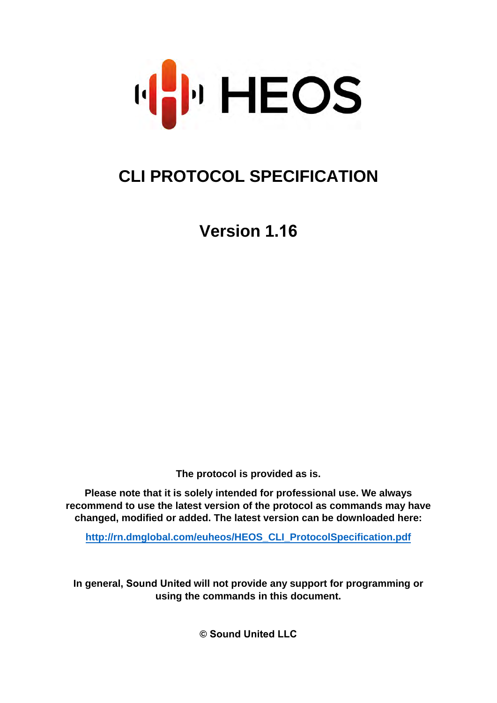

# **CLI PROTOCOL SPECIFICATION**

**Version 1.16**

**The protocol is provided as is.**

**Please note that it is solely intended for professional use. We always recommend to use the latest version of the protocol as commands may have changed, modified or added. The latest version can be downloaded here:**

**[http://rn.dmglobal.com/euheos/HEOS\\_CLI\\_ProtocolSpecification.pdf](http://rn.dmglobal.com/euheos/HEOS_CLI_ProtocolSpecification.pdf)**

**In general, Sound United will not provide any support for programming or using the commands in this document.** 

**© Sound United LLC**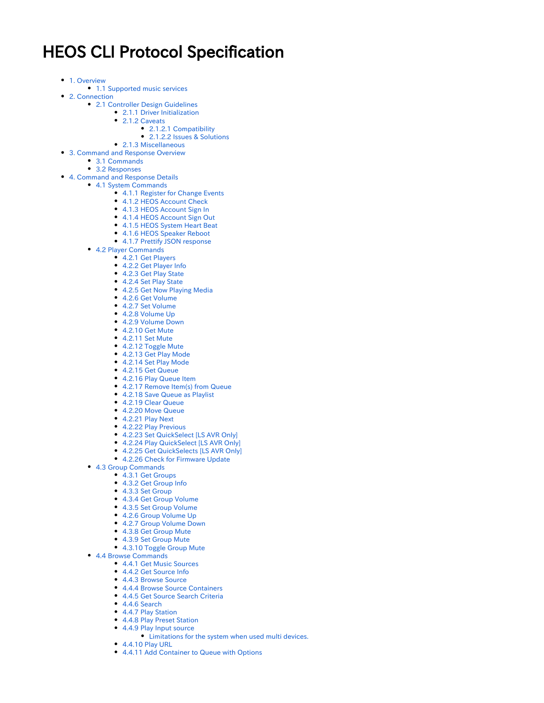# HEOS CLI Protocol Specification

- [1. Overview](#page-3-0)
	- [1.1 Supported music services](#page-3-1)
- [2. Connection](#page-4-0)
	- [2.1 Controller Design Guidelines](#page-4-1)
		- [2.1.1 Driver Initialization](#page-4-2)
			- [2.1.2 Caveats](#page-4-3)
				- [2.1.2.1 Compatibility](#page-4-4)
				- [2.1.2.2 Issues & Solutions](#page-4-5)
- [2.1.3 Miscellaneous](#page-4-6) • [3. Command and Response Overview](#page-5-0)
	- - [3.1 Commands](#page-5-1)
		- [3.2 Responses](#page-6-0)
- [4. Command and Response Details](#page-6-1)
- [4.1 System Commands](#page-6-2)
	- [4.1.1 Register for Change Events](#page-6-3)
	- [4.1.2 HEOS Account Check](#page-7-0)
	- [4.1.3 HEOS Account Sign In](#page-7-1)
	- [4.1.4 HEOS Account Sign Out](#page-7-2) [4.1.5 HEOS System Heart Beat](#page-7-3)
	- [4.1.6 HEOS Speaker Reboot](#page-7-4)
	- [4.1.7 Prettify JSON response](#page-8-0)
	- [4.2 Player Commands](#page-8-1)
		- [4.2.1 Get Players](#page-8-2)
			- [4.2.2 Get Player Info](#page-9-0)
			- [4.2.3 Get Play State](#page-10-0)
			- [4.2.4 Set Play State](#page-10-1)
			- [4.2.5 Get Now Playing Media](#page-10-2)
			- [4.2.6 Get Volume](#page-12-0)
			- [4.2.7 Set Volume](#page-12-1)
			- [4.2.8 Volume Up](#page-12-2)
			- [4.2.9 Volume Down](#page-12-3)
			- [4.2.10 Get Mute](#page-13-0)
			- [4.2.11 Set Mute](#page-13-1)
			- [4.2.12 Toggle Mute](#page-13-2)
			- [4.2.13 Get Play Mode](#page-14-0)
			- [4.2.14 Set Play Mode](#page-14-1) [4.2.15 Get Queue](#page-14-2)
			-
			- [4.2.16 Play Queue Item](#page-15-0)
			- [4.2.17 Remove Item\(s\) from Queue](#page-15-1)
			- [4.2.18 Save Queue as Playlist](#page-16-0)
			- [4.2.19 Clear Queue](#page-16-1)
			- [4.2.20 Move Queue](#page-16-2)
			- [4.2.21 Play Next](#page-17-0)
			- [4.2.22 Play Previous](#page-17-1)
			- [4.2.23 Set QuickSelect \[LS AVR Only\]](#page-17-2)
			- [4.2.24 Play QuickSelect \[LS AVR Only\]](#page-18-0)
			- [4.2.25 Get QuickSelects \[LS AVR Only\]](#page-18-1)
			- [4.2.26 Check for Firmware Update](#page-19-0)
	- [4.3 Group Commands](#page-19-1)
		- [4.3.1 Get Groups](#page-19-2)
		- [4.3.2 Get Group Info](#page-21-0)
		- [4.3.3 Set Group](#page-21-1)
		- [4.3.4 Get Group Volume](#page-22-0)
		- [4.3.5 Set Group Volume](#page-22-1)
		- [4.2.6 Group Volume Up](#page-22-2)
		- [4.2.7 Group Volume Down](#page-23-0)
		- [4.3.8 Get Group Mute](#page-23-1)
		- [4.3.9 Set Group Mute](#page-23-2)
		- [4.3.10 Toggle Group Mute](#page-24-0)
	- [4.4 Browse Commands](#page-24-1)
		- [4.4.1 Get Music Sources](#page-24-2)
		- [4.4.2 Get Source Info](#page-25-0)
		- [4.4.3 Browse Source](#page-26-0)
		- [4.4.4 Browse Source Containers](#page-28-0)
		- [4.4.5 Get Source Search Criteria](#page-30-0)
		- [4.4.6 Search](#page-31-0) ● [4.4.7 Play Station](#page-33-0)
		- [4.4.8 Play Preset Station](#page-34-0)
		- [4.4.9 Play Input source](#page-34-1)
			- [Limitations for the system when used multi devices.](#page-35-0)
		- [4.4.10 Play URL](#page-36-0)
		- [4.4.11 Add Container to Queue with Options](#page-36-1)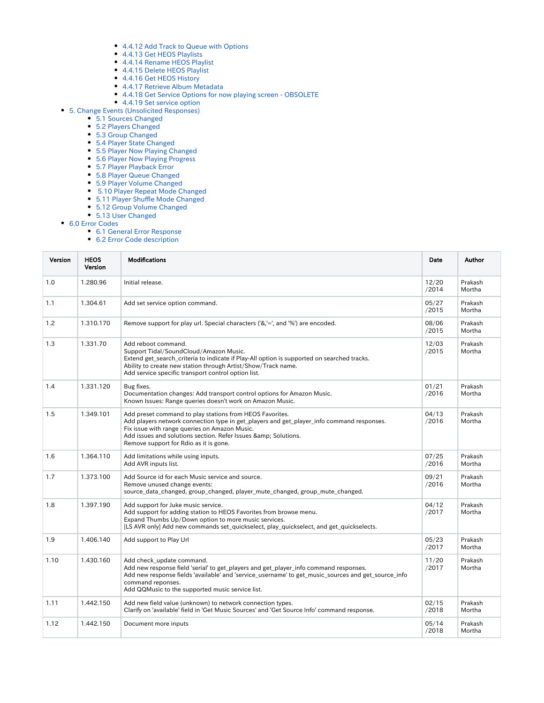- [4.4.12 Add Track to Queue with Options](#page-36-2)
- [4.4.13 Get HEOS Playlists](#page-37-0)
- [4.4.14 Rename HEOS Playlist](#page-37-1)
- [4.4.15 Delete HEOS Playlist](#page-37-2)
- [4.4.16 Get HEOS History](#page-38-0)
- [4.4.17 Retrieve Album Metadata](#page-38-1)
- [4.4.18 Get Service Options for now playing screen OBSOLETE](#page-38-2)
- [4.4.19 Set service option](#page-39-0)
- [5. Change Events \(Unsolicited Responses\)](#page-41-0)
	- [5.1 Sources Changed](#page-41-1)
	- [5.2 Players Changed](#page-41-2)
	- [5.3 Group Changed](#page-41-3)
	- [5.4 Player State Changed](#page-41-4)
	- [5.5 Player Now Playing Changed](#page-41-5)
	- [5.6 Player Now Playing Progress](#page-41-6)
	- [5.7 Player Playback Error](#page-42-0)
	- [5.8 Player Queue Changed](#page-42-1)
	- [5.9 Player Volume Changed](#page-42-2)
	- [5.10 Player Repeat Mode Changed](#page-42-3)
	- [5.11 Player Shuffle Mode Changed](#page-42-4)
	- [5.12 Group Volume Changed](#page-42-5)
	- [5.13 User Changed](#page-43-0)
- [6.0 Error Codes](#page-43-1)
	- [6.1 General Error Response](#page-43-2) [6.2 Error Code description](#page-43-3)

Version | HEOS Version Modifications **Date Author Author Author Author Author** Date Author Author Author Date Author 1.0 1.280.96 Initial release. 12/20 /2014 Prakash Mortha 1.1 1.304.61 Add set service option command. 05/27 /2015 Prakash Mortha 1.2 1.310.170 Remove support for play url. Special characters ('&,'=', and '%') are encoded. 08/06 /2015 Prakash Mortha 1.3 1.331.70 Add reboot command. Support Tidal/SoundCloud/Amazon Music. Extend get\_search\_criteria to indicate if Play-All option is supported on searched tracks. Ability to create new station through Artist/Show/Track name. Add service specific transport control option list. 12/03 /2015 Prakash Mortha 1.4 | 1.331.120 | Bug fixes. Documentation changes: Add transport control options for Amazon Music. Known Issues: Range queries doesn't work on Amazon Music. 01/21 /2016 Prakash Mortha 1.5 1.349.101 Add preset command to play stations from HEOS Favorites. Add players network connection type in get\_players and get\_player\_info command responses. Fix issue with range queries on Amazon Music. Add issues and solutions section. Refer Issues & amp; Solutions. Remove support for Rdio as it is gone. 04/13 /2016 Prakash Mortha 1.6 1.364.110 Add limitations while using inputs. Add AVR inputs list. 07/25 /2016 Prakash Mortha 1.7 1.373.100 Add Source id for each Music service and source. Remove unused change events: source\_data\_changed, group\_changed, player\_mute\_changed, group\_mute\_changed. 09/21 /2016 Prakash Mortha 1.8 1.397.190 Add support for Juke music service. Add support for adding station to HEOS Favorites from browse menu. Expand Thumbs Up/Down option to more music services. [LS AVR only] Add new commands set\_quickselect, play\_quickselect, and get\_quickselects. 04/12 /2017 Prakash Mortha 1.9 1.406.140 Add support to Play Url 1.5 and 1.406.140 Add support to Play Url 1.5 and 1.5 and 1.5 and 1.5 and 1.5 and 1.5 and 1.5 and 1.5 and 1.5 and 1.5 and 1.5 and 1.5 and 1.5 and 1.5 and 1.5 and 1.5 and 1.5 and 1.5 an /2017 Prakash Mortha 1.10  $\vert$  1.430.160  $\vert$  Add check update command. Add new response field 'serial' to get players and get player info command responses. Add new response fields 'available' and 'service\_username' to get\_music\_sources and get\_source\_info command reponses. Add QQMusic to the supported music service list. 11/20 /2017 Prakash Mortha 1.11 1.442.150 Add new field value (unknown) to network connection types. Clarify on 'available' field in 'Get Music Sources' and 'Get Source Info' command response. 02/15 /2018 Prakash Mortha 1.12 1.442.150 Document more inputs 05/14 05/14 /2018 Prakash Mortha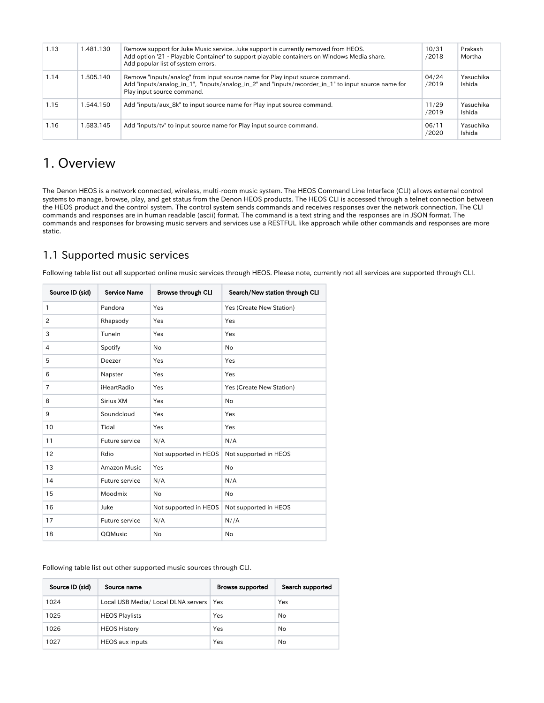| 1.13 | 1.481.130 | Remove support for Juke Music service. Juke support is currently removed from HEOS.<br>Add option '21 - Playable Container' to support playable containers on Windows Media share.<br>Add popular list of system errors. | 10/31<br>/2018 | Prakash<br>Mortha   |
|------|-----------|--------------------------------------------------------------------------------------------------------------------------------------------------------------------------------------------------------------------------|----------------|---------------------|
| 1.14 | 1.505.140 | Remove "inputs/analog" from input source name for Play input source command.<br>Add "inputs/analog_in_1", "inputs/analog_in_2" and "inputs/recorder_in_1" to input source name for<br>Play input source command.         | 04/24<br>/2019 | Yasuchika<br>Ishida |
| 1.15 | 1.544.150 | Add "inputs/aux 8k" to input source name for Play input source command.                                                                                                                                                  | 11/29<br>/2019 | Yasuchika<br>Ishida |
| 1.16 | 1.583.145 | Add "inputs/tv" to input source name for Play input source command.                                                                                                                                                      | 06/11<br>/2020 | Yasuchika<br>Ishida |

# <span id="page-3-0"></span>1. Overview

The Denon HEOS is a network connected, wireless, multi-room music system. The HEOS Command Line Interface (CLI) allows external control systems to manage, browse, play, and get status from the Denon HEOS products. The HEOS CLI is accessed through a telnet connection between the HEOS product and the control system. The control system sends commands and receives responses over the network connection. The CLI commands and responses are in human readable (ascii) format. The command is a text string and the responses are in JSON format. The commands and responses for browsing music servers and services use a RESTFUL like approach while other commands and responses are more static.

## <span id="page-3-1"></span>1.1 Supported music services

Following table list out all supported online music services through HEOS. Please note, currently not all services are supported through CLI.

| Source ID (sid) | <b>Service Name</b> | <b>Browse through CLI</b> | Search/New station through CLI |
|-----------------|---------------------|---------------------------|--------------------------------|
| 1               | Pandora             | Yes                       | Yes (Create New Station)       |
| 2               | Rhapsody            | Yes                       | Yes                            |
| 3               | Tuneln              | Yes                       | Yes                            |
| 4               | Spotify             | No                        | No                             |
| 5               | Deezer              | Yes                       | Yes                            |
| 6               | Napster             | Yes                       | Yes                            |
| $\overline{7}$  | iHeartRadio         | Yes                       | Yes (Create New Station)       |
| 8               | Sirius XM           | Yes                       | No                             |
| 9               | Soundcloud          | Yes                       | Yes                            |
| 10              | Tidal               | Yes                       | Yes                            |
| 11              | Future service      | N/A                       | N/A                            |
| 12              | Rdio                | Not supported in HEOS     | Not supported in HEOS          |
| 13              | <b>Amazon Music</b> | Yes                       | No                             |
| 14              | Future service      | N/A                       | N/A                            |
| 15              | Moodmix             | No                        | No                             |
| 16              | Juke                | Not supported in HEOS     | Not supported in HEOS          |
| 17              | Future service      | N/A                       | N//A                           |
| 18              | QQMusic             | No                        | No                             |

Following table list out other supported music sources through CLI.

| Source ID (sid) | Source name                               | <b>Browse supported</b> | Search supported |
|-----------------|-------------------------------------------|-------------------------|------------------|
| 1024            | Local USB Media/ Local DLNA servers   Yes |                         | Yes              |
| 1025            | <b>HEOS Playlists</b>                     | Yes                     | No               |
| 1026            | <b>HEOS History</b>                       | Yes                     | No               |
| 1027            | <b>HEOS</b> aux inputs                    | Yes                     | No               |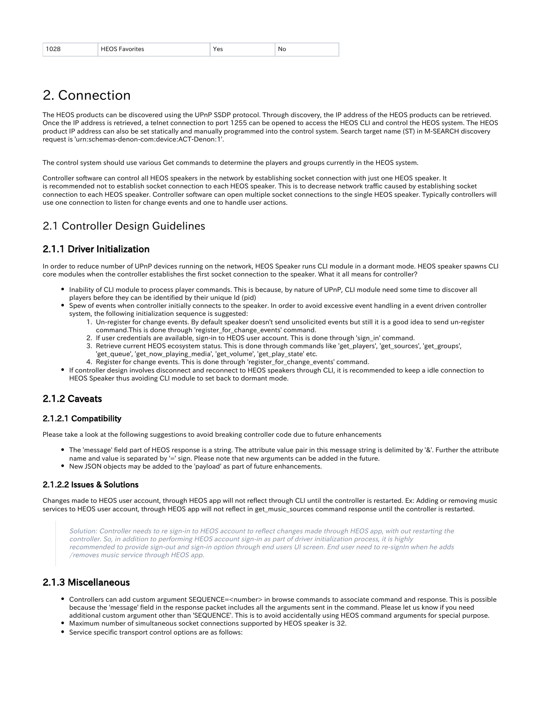| 1028 | HEOS F<br>Favorites | Yes | . No |
|------|---------------------|-----|------|
|------|---------------------|-----|------|

# <span id="page-4-0"></span>2. Connection

The HEOS products can be discovered using the UPnP SSDP protocol. Through discovery, the IP address of the HEOS products can be retrieved. Once the IP address is retrieved, a telnet connection to port 1255 can be opened to access the HEOS CLI and control the HEOS system. The HEOS product IP address can also be set statically and manually programmed into the control system. Search target name (ST) in M-SEARCH discovery request is 'urn:schemas-denon-com:device:ACT-Denon:1'.

The control system should use various Get commands to determine the players and groups currently in the HEOS system.

Controller software can control all HEOS speakers in the network by establishing socket connection with just one HEOS speaker. It is recommended not to establish socket connection to each HEOS speaker. This is to decrease network traffic caused by establishing socket connection to each HEOS speaker. Controller software can open multiple socket connections to the single HEOS speaker. Typically controllers will use one connection to listen for change events and one to handle user actions.

## <span id="page-4-1"></span>2.1 Controller Design Guidelines

### <span id="page-4-2"></span>2.1.1 Driver Initialization

In order to reduce number of UPnP devices running on the network, HEOS Speaker runs CLI module in a dormant mode. HEOS speaker spawns CLI core modules when the controller establishes the first socket connection to the speaker. What it all means for controller?

- Inability of CLI module to process player commands. This is because, by nature of UPnP, CLI module need some time to discover all players before they can be identified by their unique Id (pid)
- Spew of events when controller initially connects to the speaker. In order to avoid excessive event handling in a event driven controller system, the following initialization sequence is suggested:
	- 1. Un-register for change events. By default speaker doesn't send unsolicited events but still it is a good idea to send un-register command. This is done through 'register for change events' command.
	- 2. If user credentials are available, sign-in to HEOS user account. This is done through 'sign\_in' command.
	- 3. Retrieve current HEOS ecosystem status. This is done through commands like 'get\_players', 'get\_sources', 'get\_groups',
	- 'get\_queue', 'get\_now\_playing\_media', 'get\_volume', 'get\_play\_state' etc.
	- 4. Register for change events. This is done through 'register\_for\_change\_events' command.
- If controller design involves disconnect and reconnect to HEOS speakers through CLI, it is recommended to keep a idle connection to HEOS Speaker thus avoiding CLI module to set back to dormant mode.

#### <span id="page-4-3"></span>2.1.2 Caveats

#### <span id="page-4-4"></span>2.1.2.1 Compatibility

Please take a look at the following suggestions to avoid breaking controller code due to future enhancements

- The 'message' field part of HEOS response is a string. The attribute value pair in this message string is delimited by '&'. Further the attribute name and value is separated by '=' sign. Please note that new arguments can be added in the future.
- New JSON objects may be added to the 'payload' as part of future enhancements.

#### <span id="page-4-5"></span>2.1.2.2 Issues & Solutions

Changes made to HEOS user account, through HEOS app will not reflect through CLI until the controller is restarted. Ex: Adding or removing music services to HEOS user account, through HEOS app will not reflect in get\_music\_sources command response until the controller is restarted.

Solution: Controller needs to re sign-in to HEOS account to reflect changes made through HEOS app, with out restarting the controller. So, in addition to performing HEOS account sign-in as part of driver initialization process, it is highly recommended to provide sign-out and sign-in option through end users UI screen. End user need to re-signIn when he adds /removes music service through HEOS app.

#### <span id="page-4-6"></span>2.1.3 Miscellaneous

- Controllers can add custom argument SEQUENCE=<number> in browse commands to associate command and response. This is possible because the 'message' field in the response packet includes all the arguments sent in the command. Please let us know if you need additional custom argument other than 'SEQUENCE'. This is to avoid accidentally using HEOS command arguments for special purpose.
- Maximum number of simultaneous socket connections supported by HEOS speaker is 32.
- Service specific transport control options are as follows: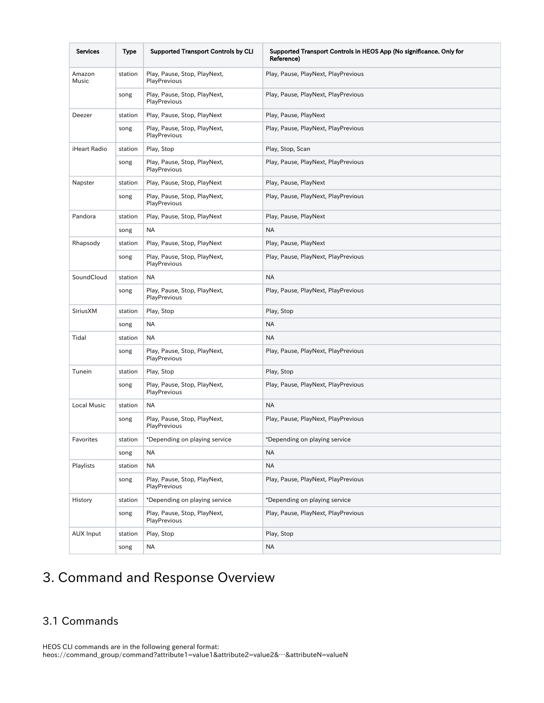| <b>Services</b>     | Type    | <b>Supported Transport Controls by CLI</b>   | Supported Transport Controls in HEOS App (No significance. Only for<br>Reference) |
|---------------------|---------|----------------------------------------------|-----------------------------------------------------------------------------------|
| Amazon<br>Music     | station | Play, Pause, Stop, PlayNext,<br>PlayPrevious | Play, Pause, PlayNext, PlayPrevious                                               |
|                     | song    | Play, Pause, Stop, PlayNext,<br>PlayPrevious | Play, Pause, PlayNext, PlayPrevious                                               |
| Deezer              | station | Play, Pause, Stop, PlayNext                  | Play, Pause, PlayNext                                                             |
|                     | song    | Play, Pause, Stop, PlayNext,<br>PlayPrevious | Play, Pause, PlayNext, PlayPrevious                                               |
| <b>iHeart Radio</b> | station | Play, Stop                                   | Play, Stop, Scan                                                                  |
|                     | song    | Play, Pause, Stop, PlayNext,<br>PlayPrevious | Play, Pause, PlayNext, PlayPrevious                                               |
| Napster             | station | Play, Pause, Stop, PlayNext                  | Play, Pause, PlayNext                                                             |
|                     | song    | Play, Pause, Stop, PlayNext,<br>PlayPrevious | Play, Pause, PlayNext, PlayPrevious                                               |
| Pandora             | station | Play, Pause, Stop, PlayNext                  | Play, Pause, PlayNext                                                             |
|                     | song    | ΝA                                           | <b>NA</b>                                                                         |
| Rhapsody            | station | Play, Pause, Stop, PlayNext                  | Play, Pause, PlayNext                                                             |
|                     | song    | Play, Pause, Stop, PlayNext,<br>PlayPrevious | Play, Pause, PlayNext, PlayPrevious                                               |
| SoundCloud          | station | NA                                           | <b>NA</b>                                                                         |
|                     | song    | Play, Pause, Stop, PlayNext,<br>PlayPrevious | Play, Pause, PlayNext, PlayPrevious                                               |
| SiriusXM            | station | Play, Stop                                   | Play, Stop                                                                        |
|                     | song    | NA                                           | ΝA                                                                                |
| Tidal               | station | <b>NA</b>                                    | <b>NA</b>                                                                         |
|                     | song    | Play, Pause, Stop, PlayNext,<br>PlayPrevious | Play, Pause, PlayNext, PlayPrevious                                               |
| Tunein              | station | Play, Stop                                   | Play, Stop                                                                        |
|                     | song    | Play, Pause, Stop, PlayNext,<br>PlayPrevious | Play, Pause, PlayNext, PlayPrevious                                               |
| Local Music         | station | NA                                           | NA                                                                                |
|                     | song    | Play, Pause, Stop, PlayNext,<br>PlayPrevious | Play, Pause, PlayNext, PlayPrevious                                               |
| Favorites           | station | *Depending on playing service                | *Depending on playing service                                                     |
|                     | song    | ΝA                                           | NA                                                                                |
| Playlists           | station | <b>NA</b>                                    | <b>NA</b>                                                                         |
|                     | song    | Play, Pause, Stop, PlayNext,<br>PlayPrevious | Play, Pause, PlayNext, PlayPrevious                                               |
| History             | station | *Depending on playing service                | *Depending on playing service                                                     |
|                     | song    | Play, Pause, Stop, PlayNext,<br>PlayPrevious | Play, Pause, PlayNext, PlayPrevious                                               |
| <b>AUX Input</b>    | station | Play, Stop                                   | Play, Stop                                                                        |
|                     | song    | NA                                           | NA                                                                                |

# <span id="page-5-0"></span>3. Command and Response Overview

## <span id="page-5-1"></span>3.1 Commands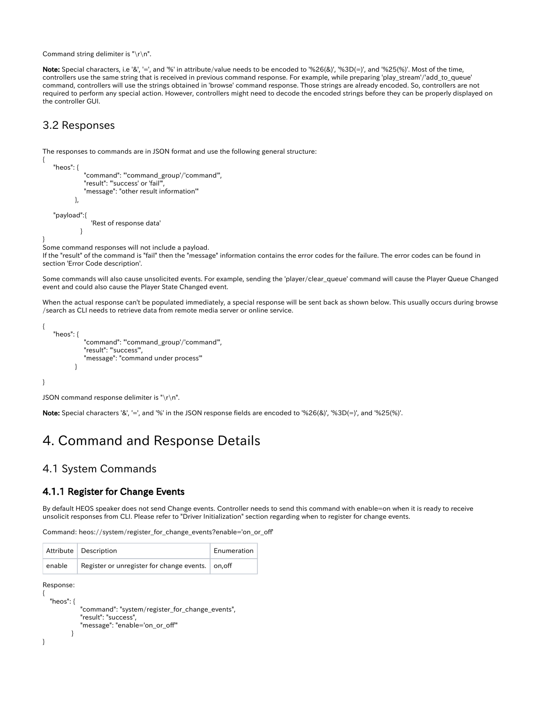Command string delimiter is "\r\n".

Note: Special characters, i.e '&', '=', and '%' in attribute/value needs to be encoded to '%26(&)', '%3D(=)', and '%25(%)'. Most of the time, controllers use the same string that is received in previous command response. For example, while preparing 'play\_stream'/'add\_to\_queue' command, controllers will use the strings obtained in 'browse' command response. Those strings are already encoded. So, controllers are not required to perform any special action. However, controllers might need to decode the encoded strings before they can be properly displayed on the controller GUI.

#### <span id="page-6-0"></span>3.2 Responses

{

}

}

The responses to commands are in JSON format and use the following general structure:

```
 "heos": {
            "command": "'command_group'/'command'",
            "result": "'success' or 'fail'",
            "message": "other result information'"
        },
 "payload":{
              'Rest of response data'
```
Some command responses will not include a payload.

If the "result" of the command is "fail" then the "message" information contains the error codes for the failure. The error codes can be found in section 'Error Code description'.

Some commands will also cause unsolicited events. For example, sending the 'player/clear\_queue' command will cause the Player Queue Changed event and could also cause the Player State Changed event.

When the actual response can't be populated immediately, a special response will be sent back as shown below. This usually occurs during browse /search as CLI needs to retrieve data from remote media server or online service.

```
{
    "heos": {
              "command": "'command_group'/'command'",
              "result": "'success'",
              "message": "command under process'"
 }
}
```
JSON command response delimiter is " $\rceil r \rceil$ .

Note: Special characters '&', '=', and '%' in the JSON response fields are encoded to '%26(&)', '%3D(=)', and '%25(%)'.

# <span id="page-6-1"></span>4. Command and Response Details

#### <span id="page-6-2"></span>4.1 System Commands

#### <span id="page-6-3"></span>4.1.1 Register for Change Events

By default HEOS speaker does not send Change events. Controller needs to send this command with enable=on when it is ready to receive unsolicit responses from CLI. Please refer to "Driver Initialization" section regarding when to register for change events.

Command: heos://system/register\_for\_change\_events?enable='on\_or\_off'

|        | Attribute   Description                           | Enumeration |
|--------|---------------------------------------------------|-------------|
| enable | Register or unregister for change events. on, off |             |

Response:

```
{
   "heos": {
             "command": "system/register_for_change_events",
             "result": "success",
            "message": "enable='on_or_off'"
 }
}
```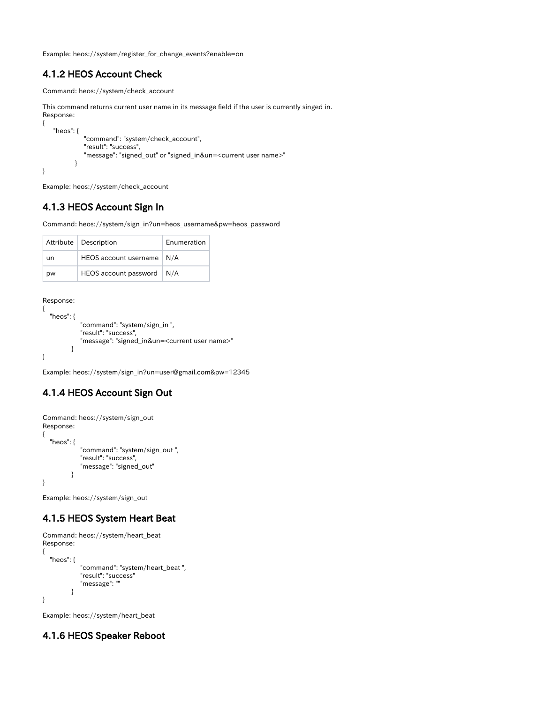Example: heos://system/register\_for\_change\_events?enable=on

### <span id="page-7-0"></span>4.1.2 HEOS Account Check

```
Command: heos://system/check_account
```

```
This command returns current user name in its message field if the user is currently singed in. 
Response:
{
    "heos": {
              "command": "system/check_account",
              "result": "success",
               "message": "signed_out" or "signed_in&un=<current user name>" 
           }
}
```
Example: heos://system/check\_account

## <span id="page-7-1"></span>4.1.3 HEOS Account Sign In

Command: heos://system/sign\_in?un=heos\_username&pw=heos\_password

|    | Attribute   Description     | Enumeration |
|----|-----------------------------|-------------|
| un | HEOS account username   N/A |             |
| pw | HEOS account password       | N/A         |

Response:

```
{
   "heos": {
              "command": "system/sign_in ",
              "result": "success",
              "message": "signed_in&un=<current user name>"
           }
}
```
Example: heos://system/sign\_in?un=user@gmail.com&pw=12345

## <span id="page-7-2"></span>4.1.4 HEOS Account Sign Out

```
Command: heos://system/sign_out 
Response:
{
   "heos": {
             "command": "system/sign_out ",
             "result": "success",
             "message": "signed_out"
 }
}
```
Example: heos://system/sign\_out

#### <span id="page-7-3"></span>4.1.5 HEOS System Heart Beat

```
Command: heos://system/heart_beat 
Response:
{
   "heos": {
              "command": "system/heart_beat ",
              "result": "success"
              "message": ""
          }
}
```
Example: heos://system/heart\_beat

## <span id="page-7-4"></span>4.1.6 HEOS Speaker Reboot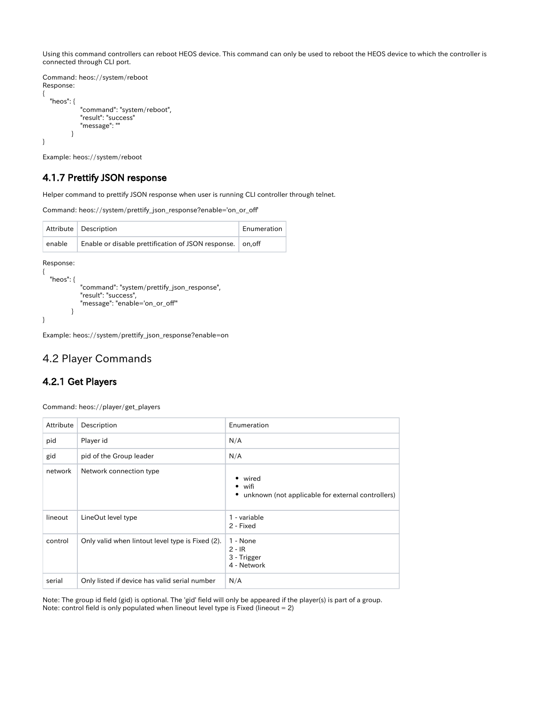Using this command controllers can reboot HEOS device. This command can only be used to reboot the HEOS device to which the controller is connected through CLI port.

```
Command: heos://system/reboot
Response:
{
   "heos": {
             "command": "system/reboot",
             "result": "success"
             "message": ""
          }
}
```
Example: heos://system/reboot

#### <span id="page-8-0"></span>4.1.7 Prettify JSON response

Helper command to prettify JSON response when user is running CLI controller through telnet.

Command: heos://system/prettify\_json\_response?enable='on\_or\_off'

|        | Attribute   Description                                    | Enumeration |
|--------|------------------------------------------------------------|-------------|
| enable | Enable or disable prettification of JSON response. on, off |             |

Response:

{

}

```
 "heos": {
           "command": "system/prettify_json_response",
           "result": "success",
           "message": "enable='on_or_off'"
        }
```
Example: heos://system/prettify\_json\_response?enable=on

### <span id="page-8-1"></span>4.2 Player Commands

#### <span id="page-8-2"></span>4.2.1 Get Players

Command: heos://player/get\_players

| Attribute | Description                                      | Enumeration                                                                         |
|-----------|--------------------------------------------------|-------------------------------------------------------------------------------------|
| pid       | Player id                                        | N/A                                                                                 |
| gid       | pid of the Group leader                          | N/A                                                                                 |
| network   | Network connection type                          | • wired<br>$\bullet$ wifi<br>unknown (not applicable for external controllers)<br>٠ |
| lineout   | LineOut level type                               | 1 - variable<br>2 - Fixed                                                           |
| control   | Only valid when lintout level type is Fixed (2). | 1 - None<br>$2 - IR$<br>3 - Trigger<br>4 - Network                                  |
| serial    | Only listed if device has valid serial number    | N/A                                                                                 |

Note: The group id field (gid) is optional. The 'gid' field will only be appeared if the player(s) is part of a group. Note: control field is only populated when lineout level type is Fixed (lineout = 2)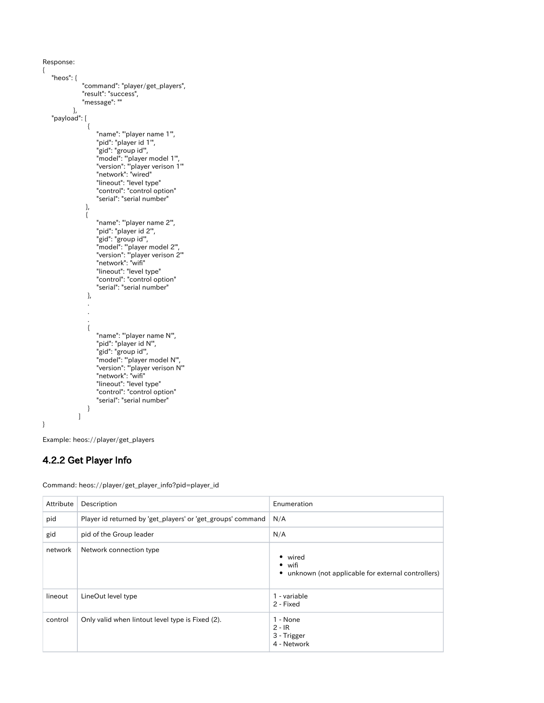{

```
 "heos": {
            "command": "player/get_players",
 "result": "success",
 "message": ""
         },
   "payload": [
\left\{ \begin{array}{c} 1 & 1 \\ 1 & 1 \end{array} \right\} "name": "'player name 1'",
 "pid": "player id 1'",
 "gid": "group id'",
 "model": "'player model 1'",
 "version": "'player verison 1'"
 "network": "wired"
 "lineout": "level type"
 "control": "control option"
 "serial": "serial number"
             },
\left\{ \begin{array}{c} 1 & 1 \\ 1 & 1 \end{array} \right\} "name": "'player name 2'",
                "pid": "player id 2'",
 "gid": "group id'",
 "model": "'player model 2'",
 "version": "'player verison 2'"
 "network": "wifi"
 "lineout": "level type"
 "control": "control option"
                "serial": "serial number"
             },
 .
 .
 .
\left\{ \begin{array}{c} 1 & 1 \\ 1 & 1 \end{array} \right\} "name": "'player name N'",
                "pid": "player id N'",
 "gid": "group id'",
 "model": "'player model N'",
 "version": "'player verison N'"
 "network": "wifi"
 "lineout": "level type"
 "control": "control option"
                "serial": "serial number"
             }
          ]
}
```
Example: heos://player/get\_players

#### <span id="page-9-0"></span>4.2.2 Get Player Info

| Attribute | Description                                                 | Enumeration                                                                         |
|-----------|-------------------------------------------------------------|-------------------------------------------------------------------------------------|
| pid       | Player id returned by 'get_players' or 'get_groups' command | N/A                                                                                 |
| gid       | pid of the Group leader                                     | N/A                                                                                 |
| network   | Network connection type                                     | • wired<br>$\bullet$ wifi<br>unknown (not applicable for external controllers)<br>٠ |
| lineout   | LineOut level type                                          | 1 - variable<br>2 - Fixed                                                           |
| control   | Only valid when lintout level type is Fixed (2).            | 1 - None<br>$2 - IR$<br>3 - Trigger<br>4 - Network                                  |

Command: heos://player/get\_player\_info?pid=player\_id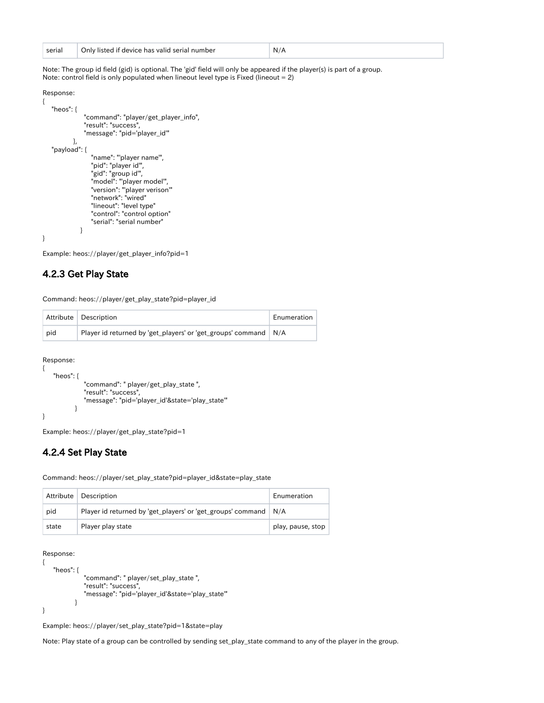| serial | Only listed if device has valid serial number | N/A |  |
|--------|-----------------------------------------------|-----|--|
|--------|-----------------------------------------------|-----|--|

Note: The group id field (gid) is optional. The 'gid' field will only be appeared if the player(s) is part of a group. Note: control field is only populated when lineout level type is Fixed (lineout = 2)

```
Response:
```
{

 $\lambda$ 

```
 "heos": {
             "command": "player/get_player_info",
             "result": "success",
            "message": "pid='player_id'"
         },
   "payload": {
               "name": "'player name'",
               "pid": "player id'",
               "gid": "group id'",
 "model": "'player model'",
 "version": "'player verison'"
               "network": "wired"
 "lineout": "level type"
 "control": "control option"
               "serial": "serial number"
 }
```
Example: heos://player/get\_player\_info?pid=1

#### <span id="page-10-0"></span>4.2.3 Get Play State

Command: heos://player/get\_play\_state?pid=player\_id

|     | Attribute Description                                             | Enumeration |
|-----|-------------------------------------------------------------------|-------------|
| pid | Player id returned by 'get_players' or 'get_groups' command   N/A |             |

Response:

{

}

```
 "heos": {
              "command": " player/get_play_state ",
              "result": "success",
              "message": "pid='player_id'&state='play_state'"
 }
```
Example: heos://player/get\_play\_state?pid=1

#### <span id="page-10-1"></span>4.2.4 Set Play State

Command: heos://player/set\_play\_state?pid=player\_id&state=play\_state

| Attribute | <b>Description</b>                                                | Enumeration       |
|-----------|-------------------------------------------------------------------|-------------------|
| pid       | Player id returned by 'get_players' or 'get_groups' command   N/A |                   |
| state     | Player play state                                                 | play, pause, stop |

Response:

```
{
     "heos": {
                "command": " player/set_play_state ",
                "result": "success",
                "message": "pid='player_id'&state='play_state'"
            }
}
```
Example: heos://player/set\_play\_state?pid=1&state=play

<span id="page-10-2"></span>Note: Play state of a group can be controlled by sending set\_play\_state command to any of the player in the group.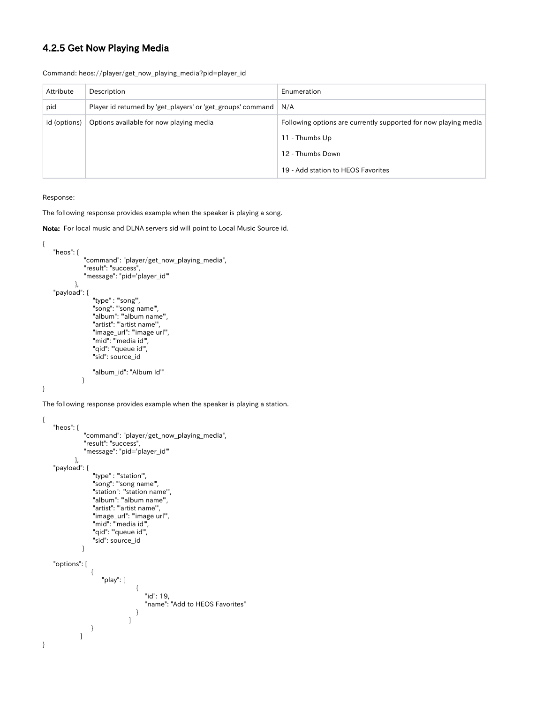### 4.2.5 Get Now Playing Media

|  |  |  | Command: heos://player/get_now_playing_media?pid=player_id |  |
|--|--|--|------------------------------------------------------------|--|
|--|--|--|------------------------------------------------------------|--|

| Attribute    | Description                                                       | Enumeration                                                     |
|--------------|-------------------------------------------------------------------|-----------------------------------------------------------------|
| pid          | Player id returned by 'get_players' or 'get_groups' command   N/A |                                                                 |
| id (options) | Options available for now playing media                           | Following options are currently supported for now playing media |
|              |                                                                   | 11 - Thumbs Up                                                  |
|              |                                                                   | 12 - Thumbs Down                                                |
|              |                                                                   | 19 - Add station to HEOS Favorites                              |

Response:

The following response provides example when the speaker is playing a song.

Note: For local music and DLNA servers sid will point to Local Music Source id.

```
{
    "heos": {
            "command": "player/get_now_playing_media",
            "result": "success",
            "message": "pid='player_id'"
         },
    "payload": {
 "type" : "'song'",
 "song": "'song name'",
 "album": "'album name'",
 "artist": "'artist name'",
 "image_url": "'image url'",
              "mid": "media id",
               "qid": "'queue id'",
               "sid": source_id
           "album_id": "Album Id'"
 }
```
}

The following response provides example when the speaker is playing a station.

```
{
     "heos": {
                "command": "player/get_now_playing_media",
                "result": "success",
                "message": "pid='player_id'"
 },
 "payload": {
                  "type" : "'station'",
                   "song": "'song name'",
 "station": "'station name'",
 "album": "'album name'",
 "artist": "'artist name'",
 "image_url": "'image url'",
 "mid": "'media id'",
 "qid": "'queue id'",
 "sid": source_id
 }
     "options": [
\left\{ \begin{array}{ccc} 1 & 0 & 0 \\ 0 & 0 & 0 \\ 0 & 0 & 0 \\ 0 & 0 & 0 \\ 0 & 0 & 0 \\ 0 & 0 & 0 \\ 0 & 0 & 0 \\ 0 & 0 & 0 \\ 0 & 0 & 0 \\ 0 & 0 & 0 \\ 0 & 0 & 0 \\ 0 & 0 & 0 \\ 0 & 0 & 0 \\ 0 & 0 & 0 & 0 \\ 0 & 0 & 0 & 0 \\ 0 & 0 & 0 & 0 \\ 0 & 0 & 0 & 0 & 0 \\ 0 & 0 & 0 & 0 & 0 \\ 0 & 0 & 0 & 0 & 0 \\ 0 & 0 & 0 & 0 "play": [
{ } "id": 19,
 "name": "Add to HEOS Favorites"
}<br>}<br>}
 ]
                 }
              ]
}
```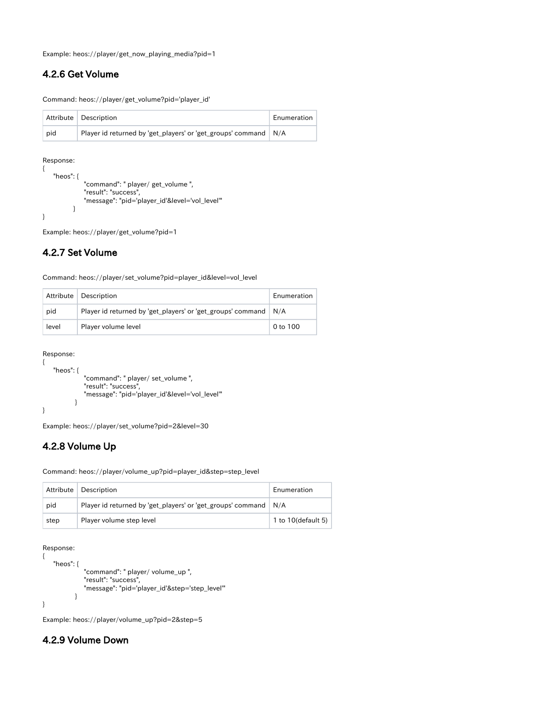Example: heos://player/get\_now\_playing\_media?pid=1

#### <span id="page-12-0"></span>4.2.6 Get Volume

Command: heos://player/get\_volume?pid='player\_id'

|     | Attribute Description                                                  | Enumeration |
|-----|------------------------------------------------------------------------|-------------|
| pid | Player id returned by 'get_players' or 'get_groups' command $\mid N/A$ |             |

Response:

```
{
    "heos": {
               "command": " player/ get_volume ",
               "result": "success",
               "message": "pid='player_id'&level='vol_level'"
           }
}
```
Example: heos://player/get\_volume?pid=1

#### <span id="page-12-1"></span>4.2.7 Set Volume

Command: heos://player/set\_volume?pid=player\_id&level=vol\_level

|       | Attribute   Description                                               | Enumeration |
|-------|-----------------------------------------------------------------------|-------------|
| pid   | Player id returned by get players' or 'get groups' command $\mid N/A$ |             |
| level | Player volume level                                                   | 0 to 100    |

```
Response:
```
{

}

```
 "heos": {
           "command": " player/ set_volume ",
           "result": "success",
           "message": "pid='player_id'&level='vol_level'"
        }
```
Example: heos://player/set\_volume?pid=2&level=30

#### <span id="page-12-2"></span>4.2.8 Volume Up

Command: heos://player/volume\_up?pid=player\_id&step=step\_level

| Attribute | <b>Description</b>                                                | Enumeration        |
|-----------|-------------------------------------------------------------------|--------------------|
| pid       | Player id returned by 'get_players' or 'get_groups' command   N/A |                    |
| step      | Player volume step level                                          | 1 to 10(default 5) |

Response:

```
{
    "heos": {
              "command": " player/ volume_up ",
              "result": "success",
              "message": "pid='player_id'&step='step_level'"
 }
}
```
Example: heos://player/volume\_up?pid=2&step=5

#### <span id="page-12-3"></span>4.2.9 Volume Down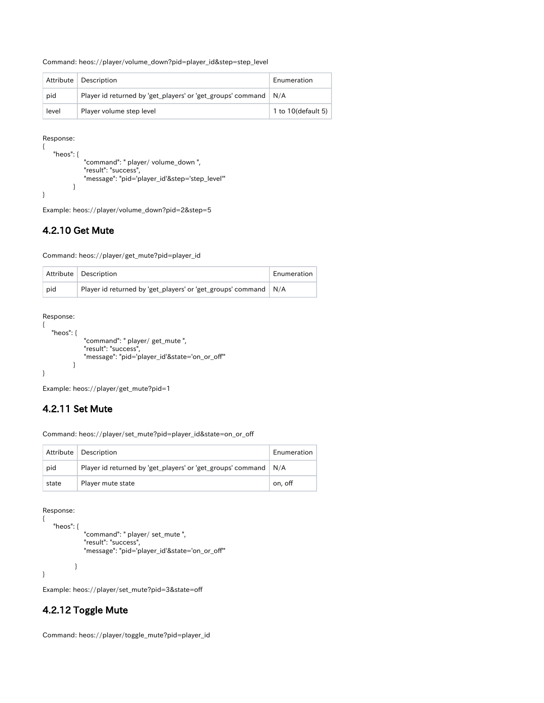Command: heos://player/volume\_down?pid=player\_id&step=step\_level

|       | Attribute   Description                                           | Enumeration           |
|-------|-------------------------------------------------------------------|-----------------------|
| pid   | Player id returned by 'get_players' or 'get_groups' command   N/A |                       |
| level | Player volume step level                                          | 1 to $10$ (default 5) |

Response:

```
{
    "heos": {
               "command": " player/ volume_down ",
               "result": "success",
               "message": "pid='player_id'&step='step_level'"
           }
}
```
Example: heos://player/volume\_down?pid=2&step=5

#### <span id="page-13-0"></span>4.2.10 Get Mute

Command: heos://player/get\_mute?pid=player\_id

|     | Attribute Description                                             | Enumeration |
|-----|-------------------------------------------------------------------|-------------|
| pid | Player id returned by 'get_players' or 'get_groups' command   N/A |             |

Response:

```
{
    "heos": {
              "command": " player/ get_mute ",
              "result": "success",
              "message": "pid='player_id'&state='on_or_off'"
 }
}
```
Example: heos://player/get\_mute?pid=1

## <span id="page-13-1"></span>4.2.11 Set Mute

Command: heos://player/set\_mute?pid=player\_id&state=on\_or\_off

|       | Attribute   Description                                           | Enumeration |
|-------|-------------------------------------------------------------------|-------------|
| pid   | Player id returned by 'get_players' or 'get_groups' command   N/A |             |
| state | Player mute state                                                 | on, off     |

Response:

{

```
 "heos": {
 "command": " player/ set_mute ",
 "result": "success",
            "message": "pid='player_id'&state='on_or_off'"
          }
}
```
Example: heos://player/set\_mute?pid=3&state=off

## <span id="page-13-2"></span>4.2.12 Toggle Mute

Command: heos://player/toggle\_mute?pid=player\_id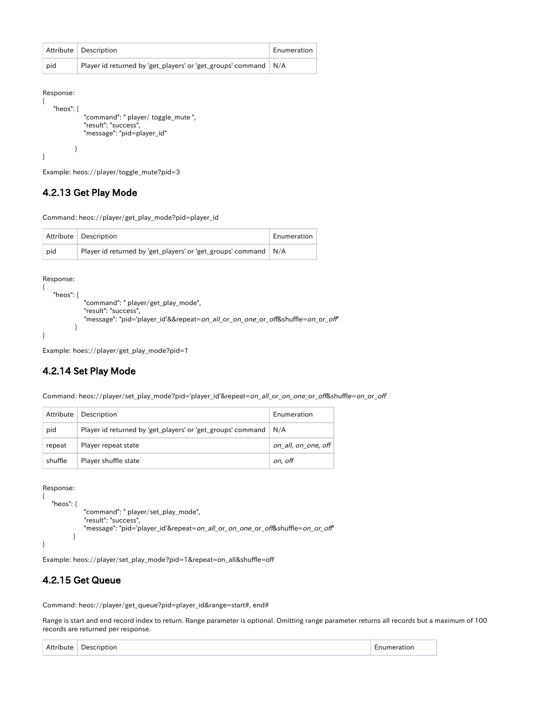|     | Attribute   Description                                           | Enumeration |
|-----|-------------------------------------------------------------------|-------------|
| pid | Player id returned by 'get_players' or 'get_groups' command   N/A |             |

{

}

```
 "heos": {
             "command": " player/ toggle_mute ",
             "result": "success",
             "message": "pid=player_id"
 }
```
Example: heos://player/toggle\_mute?pid=3

#### <span id="page-14-0"></span>4.2.13 Get Play Mode

Command: heos://player/get\_play\_mode?pid=player\_id

|     | Attribute   Description                                           | Enumeration |
|-----|-------------------------------------------------------------------|-------------|
| pid | Player id returned by 'get_players' or 'get_groups' command   N/A |             |

Response:

```
{
    "heos": {
              "command": " player/get_play_mode",
              "result": "success",
              "message": "pid='player_id'&&repeat=on_all_or_on_one_or_off&shuffle=on_or_off"
 }
}
```
Example: hoes://player/get\_play\_mode?pid=1

#### <span id="page-14-1"></span>4.2.14 Set Play Mode

Command: heos://player/set\_play\_mode?pid='player\_id'&repeat=on\_all\_or\_on\_one\_or\_off&shuffle=on\_or\_off

| Attribute | Description                                                       | Enumeration         |
|-----------|-------------------------------------------------------------------|---------------------|
|           |                                                                   |                     |
| pid       | Player id returned by 'get_players' or 'get_groups' command   N/A |                     |
| repeat    | Player repeat state                                               | on all, on one, off |
| shuffle   | Player shuffle state                                              | on, off             |

Response:

```
{
    "heos": {
               "command": " player/set_play_mode",
               "result": "success",
               "message": "pid='player_id'&repeat=on_all_or_on_one_or_off&shuffle=on_or_off"
           }
}
```
Example: heos://player/set\_play\_mode?pid=1&repeat=on\_all&shuffle=off

#### <span id="page-14-2"></span>4.2.15 Get Queue

Command: heos://player/get\_queue?pid=player\_id&range=start#, end#

Range is start and end record index to return. Range parameter is optional. Omitting range parameter returns all records but a maximum of 100 records are returned per response.

| Attribute | $\sim$ $      -$<br>ription.<br>، عمر | LIO |
|-----------|---------------------------------------|-----|
|-----------|---------------------------------------|-----|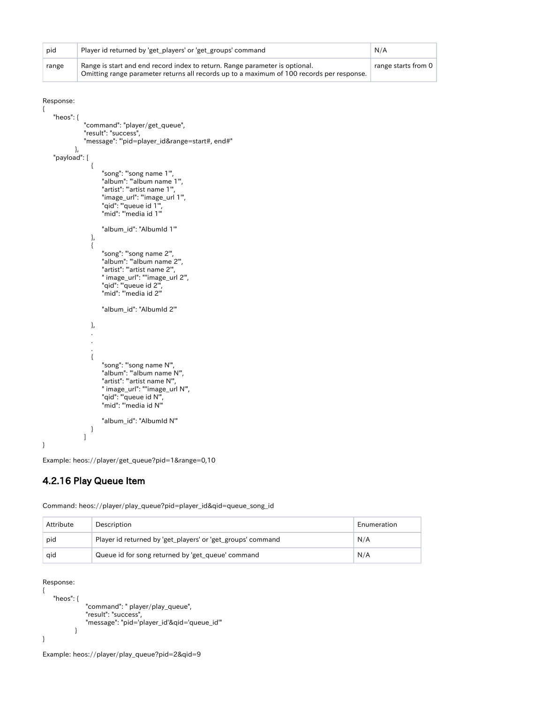| pid          |      | Player id returned by 'get_players' or 'get_groups' command                                                                                                              | N/A                 |
|--------------|------|--------------------------------------------------------------------------------------------------------------------------------------------------------------------------|---------------------|
| range        |      | Range is start and end record index to return. Range parameter is optional.<br>Omitting range parameter returns all records up to a maximum of 100 records per response. | range starts from 0 |
| Response:    |      |                                                                                                                                                                          |                     |
| Ł            |      |                                                                                                                                                                          |                     |
| "heos": {    |      | "command": "player/get_queue",                                                                                                                                           |                     |
|              |      | "result": "success",                                                                                                                                                     |                     |
|              | $\}$ | "message": "'pid=player_id⦥=start#, end#"                                                                                                                                |                     |
| "payload": [ |      |                                                                                                                                                                          |                     |
|              |      |                                                                                                                                                                          |                     |
|              |      | "song": "'song name 1",<br>"album": "album name 1",                                                                                                                      |                     |
|              |      | "artist": "'artist name 1",                                                                                                                                              |                     |
|              |      | "image_url": "'image_url 1",<br>"qid": "'queue id 1",                                                                                                                    |                     |
|              |      | "mid": "media id 1"                                                                                                                                                      |                     |
|              |      | "album_id": "Albumld 1"                                                                                                                                                  |                     |
|              | },   |                                                                                                                                                                          |                     |
|              | $\{$ |                                                                                                                                                                          |                     |
|              |      | "song": "'song name 2",<br>"album": "album name 2",                                                                                                                      |                     |
|              |      | "artist": "'artist name 2",                                                                                                                                              |                     |
|              |      | " image_url": ""image_url 2",<br>"qid": "'queue id 2",                                                                                                                   |                     |
|              |      | "mid": "media id 2"                                                                                                                                                      |                     |
|              |      | "album_id": "Albumld 2"                                                                                                                                                  |                     |
|              | },   |                                                                                                                                                                          |                     |
|              |      |                                                                                                                                                                          |                     |
|              |      |                                                                                                                                                                          |                     |
|              | €    |                                                                                                                                                                          |                     |
|              |      | "song": "'song name N'",<br>"album": "album name N",                                                                                                                     |                     |
|              |      | "artist": "'artist name N'",                                                                                                                                             |                     |
|              |      | " image_url": ""image_url N",<br>"qid": "'queue id N"',                                                                                                                  |                     |
|              |      | "mid": "media id N"                                                                                                                                                      |                     |
|              |      |                                                                                                                                                                          |                     |
|              | }    | "album_id": "Albumld N"                                                                                                                                                  |                     |
|              | 1    |                                                                                                                                                                          |                     |
| }            |      |                                                                                                                                                                          |                     |

Example: heos://player/get\_queue?pid=1&range=0,10

## <span id="page-15-0"></span>4.2.16 Play Queue Item

| Attribute | Description                                                 | Enumeration |
|-----------|-------------------------------------------------------------|-------------|
| pid       | Player id returned by 'get_players' or 'get_groups' command | N/A         |
| aid       | Queue id for song returned by 'get_queue' command           | N/A         |

Command: heos://player/play\_queue?pid=player\_id&qid=queue\_song\_id

```
Response:
```

```
{
   "heos": {
 "command": " player/play_queue",
 "result": "success",
 "message": "pid='player_id'&qid='queue_id'"
         }
}
```
<span id="page-15-1"></span>Example: heos://player/play\_queue?pid=2&qid=9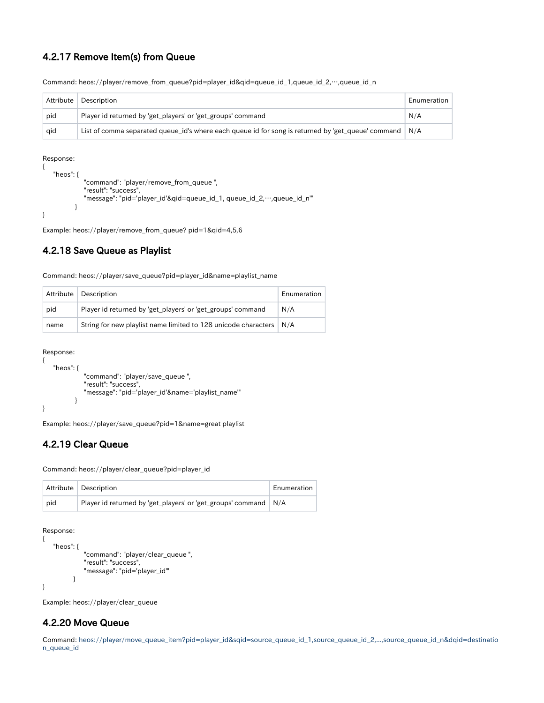#### 4.2.17 Remove Item(s) from Queue

| Attribute | Description                                                                                        | Enumeration |
|-----------|----------------------------------------------------------------------------------------------------|-------------|
| pid       | Player id returned by 'get_players' or 'get_groups' command                                        | N/A         |
| qid       | List of comma separated queue id's where each queue id for song is returned by 'get queue' command | N/A         |

Command: heos://player/remove\_from\_queue?pid=player\_id&qid=queue\_id\_1,queue\_id\_2,…,queue\_id\_n

#### Response:

```
{
    "heos": {
              "command": "player/remove_from_queue ",
              "result": "success",
             "message": "pid='player_id'&qid=queue_id_1, queue_id_2,…,queue_id_n'"
 }
}
```
Example: heos://player/remove\_from\_queue? pid=1&qid=4,5,6

#### <span id="page-16-0"></span>4.2.18 Save Queue as Playlist

Command: heos://player/save\_queue?pid=player\_id&name=playlist\_name

| Attribute | Description                                                               | Enumeration |
|-----------|---------------------------------------------------------------------------|-------------|
| pid       | Player id returned by 'get_players' or 'get_groups' command               | N/A         |
| name      | String for new playlist name limited to 128 unicode characters $\mid N/A$ |             |

```
Response:
{
```
}

```
 "heos": {
             "command": "player/save_queue ",
             "result": "success",
             "message": "pid='player_id'&name='playlist_name'"
 }
```
Example: heos://player/save\_queue?pid=1&name=great playlist

#### <span id="page-16-1"></span>4.2.19 Clear Queue

Command: heos://player/clear\_queue?pid=player\_id

|     | Attribute Description                                             | Enumeration |
|-----|-------------------------------------------------------------------|-------------|
| pid | Player id returned by 'get_players' or 'get_groups' command   N/A |             |

Response:

{

```
 "heos": {
                "command": "player/clear_queue ",
                "result": "success",
                "message": "pid='player_id'"
           }
}
```
Example: heos://player/clear\_queue

### <span id="page-16-2"></span>4.2.20 Move Queue

Command: heos://player/move\_queue\_item?pid=player\_id&sqid=source\_queue\_id\_1,source\_queue\_id\_2,...,source\_queue\_id\_n&dqid=destinatio n\_queue\_id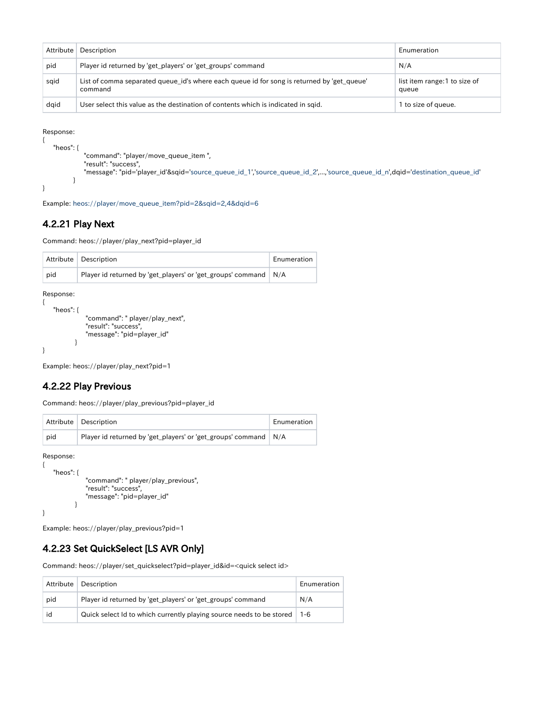| Attribute | Description                                                                                           | Enumeration                           |
|-----------|-------------------------------------------------------------------------------------------------------|---------------------------------------|
| pid       | Player id returned by 'get_players' or 'get_groups' command                                           | N/A                                   |
| sgid      | List of comma separated queue_id's where each queue id for song is returned by 'get_queue'<br>command | list item range:1 to size of<br>queue |
| daid      | User select this value as the destination of contents which is indicated in sgid.                     | 1 to size of queue.                   |

```
{
    "heos": {
             "command": "player/move_queue_item ",
 "result": "success",
 "message": "pid='player_id'&sqid='source_queue_id_1','source_queue_id_2',...,'source_queue_id_n',dqid='destination_queue_id'
         }
}
```
Example: heos://player/move\_queue\_item?pid=2&sqid=2,4&dqid=6

#### <span id="page-17-0"></span>4.2.21 Play Next

Command: heos://player/play\_next?pid=player\_id

|     | Attribute Description                                             | Enumeration |
|-----|-------------------------------------------------------------------|-------------|
| pid | Player id returned by 'get_players' or 'get_groups' command   N/A |             |

Response:

{

}

```
 "heos": {
            "command": " player/play_next",
            "result": "success",
            "message": "pid=player_id"
        }
```
Example: heos://player/play\_next?pid=1

#### <span id="page-17-1"></span>4.2.22 Play Previous

Command: heos://player/play\_previous?pid=player\_id

|     | Attribute Description                                             | Enumeration |
|-----|-------------------------------------------------------------------|-------------|
| pid | Player id returned by 'get_players' or 'get_groups' command   N/A |             |

Response:

{

}

```
 "heos": {
            "command": " player/play_previous",
            "result": "success",
            "message": "pid=player_id"
        }
```
Example: heos://player/play\_previous?pid=1

#### <span id="page-17-2"></span>4.2.23 Set QuickSelect [LS AVR Only]

Command: heos://player/set\_quickselect?pid=player\_id&id=<quick select id>

|     | Attribute   Description                                                          | Enumeration |
|-----|----------------------------------------------------------------------------------|-------------|
| pid | Player id returned by 'get players' or 'get groups' command                      | N/A         |
| id  | Quick select Id to which currently playing source needs to be stored $\vert$ 1-6 |             |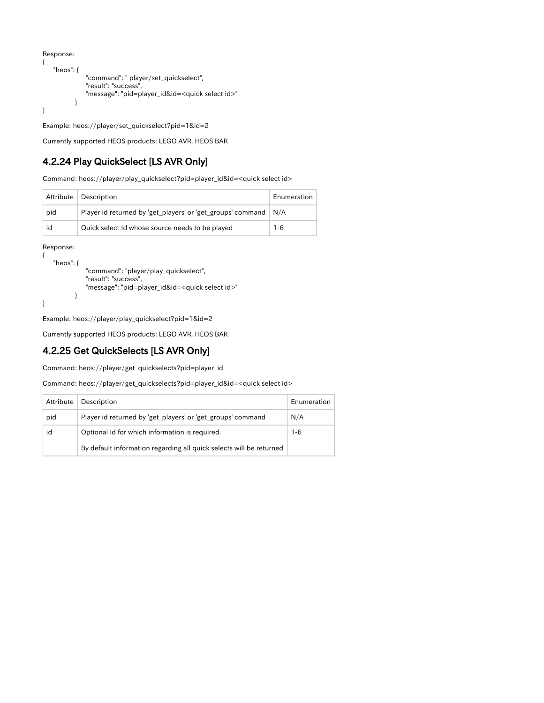```
{
    "heos": {
                "command": " player/set_quickselect",
                "result": "success",
                "message": "pid=player_id&id=<quick select id>"
            }
}
```
Example: heos://player/set\_quickselect?pid=1&id=2

Currently supported HEOS products: LEGO AVR, HEOS BAR

## <span id="page-18-0"></span>4.2.24 Play QuickSelect [LS AVR Only]

Command: heos://player/play\_quickselect?pid=player\_id&id=<quick select id>

|     | Attribute   Description                                           | Enumeration |
|-----|-------------------------------------------------------------------|-------------|
| pid | Player id returned by 'get_players' or 'get_groups' command   N/A |             |
| id  | Quick select Id whose source needs to be played                   | $1 - 6$     |

#### Response:

{

}

```
 "heos": {
            "command": "player/play_quickselect",
            "result": "success",
            "message": "pid=player_id&id=<quick select id>"
        }
```
Example: heos://player/play\_quickselect?pid=1&id=2

Currently supported HEOS products: LEGO AVR, HEOS BAR

#### <span id="page-18-1"></span>4.2.25 Get QuickSelects [LS AVR Only]

Command: heos://player/get\_quickselects?pid=player\_id

Command: heos://player/get\_quickselects?pid=player\_id&id=<quick select id>

| Attribute | Description                                                         | <b>Fnumeration</b> |
|-----------|---------------------------------------------------------------------|--------------------|
| pid       | Player id returned by 'get_players' or 'get_groups' command         | N/A                |
| id        | Optional Id for which information is required.                      | $1 - 6$            |
|           | By default information regarding all quick selects will be returned |                    |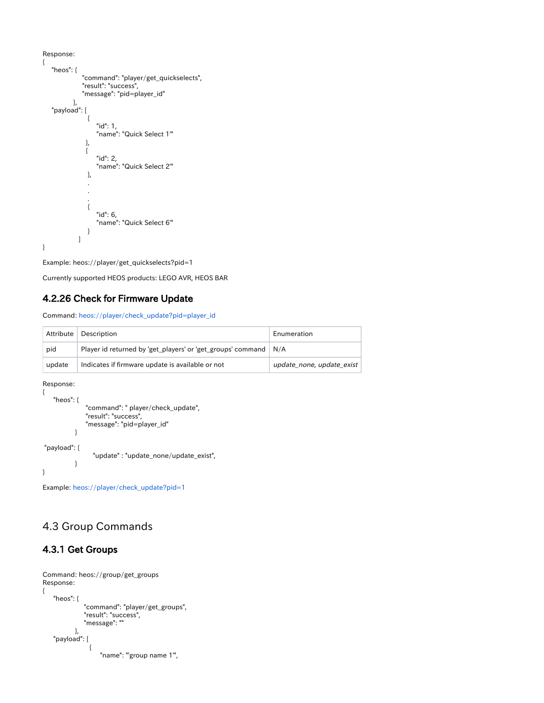```
{
      "heos": {
                       "command": "player/get_quickselects",
                       "result": "success",
                       "message": "pid=player_id"
                  },
      "payload": [
 \left\{ \begin{array}{c} 1 & 1 \\ 1 & 1 \end{array} \right\} "id": 1,
                                "name": "Quick Select 1'"
 \}, \}, \}, \}, \}, \}, \}, \}, \}, \}, \}, \}, \}, \}, \}, \}, \}, \}, \}, \}, \}, \}, \}, \}, \}, \}, \}, \}, \}, \}, \}, \}, \}, \}, \}, \}, \},
 \left\{ \begin{array}{c} 1 & 1 \\ 1 & 1 \end{array} \right\} "id": 2,
                               "name": "Quick Select 2'"
                          },
  .
  .
  .
 \left\{ \begin{array}{c} 1 & 1 \\ 1 & 1 \end{array} \right\} "id": 6,
                                "name": "Quick Select 6'"
  }
                     ]
}
```
Example: heos://player/get\_quickselects?pid=1

Currently supported HEOS products: LEGO AVR, HEOS BAR

#### <span id="page-19-0"></span>4.2.26 Check for Firmware Update

Command: heos://player/check\_update?pid=player\_id

|        | Attribute   Description                                           | Enumeration               |
|--------|-------------------------------------------------------------------|---------------------------|
| pid    | Player id returned by 'get_players' or 'get_groups' command   N/A |                           |
| update | Indicates if firmware update is available or not                  | update_none, update_exist |

```
Response:
```

```
{
    "heos": {
                "command": " player/check_update",
                "result": "success",
                "message": "pid=player_id"
            }
 "payload": {
                  "update" : "update_none/update_exist",
            }
}
```
Example: heos://player/check\_update?pid=1

## <span id="page-19-1"></span>4.3 Group Commands

#### <span id="page-19-2"></span>4.3.1 Get Groups

```
Command: heos://group/get_groups 
Response:
{
         "heos": {
                               "command": "player/get_groups",
  "result": "success",
  "message": ""
  },
  "payload": [
 \left\{ \begin{array}{ccc} 1 & 0 & 0 \\ 0 & 0 & 0 \\ 0 & 0 & 0 \\ 0 & 0 & 0 \\ 0 & 0 & 0 \\ 0 & 0 & 0 \\ 0 & 0 & 0 \\ 0 & 0 & 0 \\ 0 & 0 & 0 \\ 0 & 0 & 0 \\ 0 & 0 & 0 \\ 0 & 0 & 0 \\ 0 & 0 & 0 \\ 0 & 0 & 0 & 0 \\ 0 & 0 & 0 & 0 \\ 0 & 0 & 0 & 0 \\ 0 & 0 & 0 & 0 & 0 \\ 0 & 0 & 0 & 0 & 0 \\ 0 & 0 & 0 & 0 & 0 \\ 0 & 0 & 0 & 0 "name": "'group name 1'",
```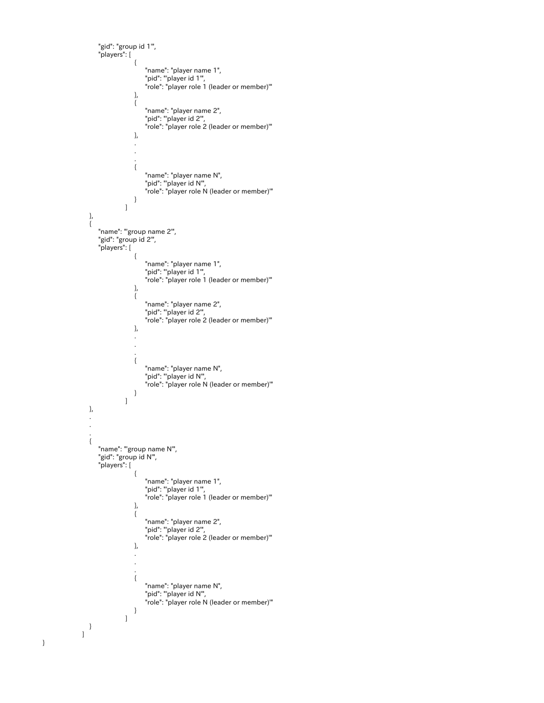```
 "gid": "group id 1'",
                    "players": [
{ } "name": "player name 1",
 "pid": "'player id 1'",
 "role": "player role 1 (leader or member)'"
\}, \{, \}, \{, \}, \{, \}, \{, \}, \{, \}, \{, \}, \{, \}, \{, \}, \{, \}, \{, \}, \{, \}, \{, \}, \{, \}, \{, \}, \{, \}, \{, \}, \{, \}, \{, \},
{ } "name": "player name 2",
 "pid": "'player id 2'",
 "role": "player role 2 (leader or member)'"
\}, \{, \}, \{, \}, \{, \}, \{, \}, \{, \}, \{, \}, \{, \}, \{, \}, \{, \}, \{, \}, \{, \}, \{, \}, \{, \}, \{, \}, \{, \}, \{, \}, \{, \}, \{, \},
 .
 .
 .
{ } "name": "player name N",
 "pid": "'player id N'",
 "role": "player role N (leader or member)'"
}<br>}<br>}
 ]
                 },
\left\{ \begin{array}{ccc} 1 & 0 & 0 \\ 0 & 0 & 0 \\ 0 & 0 & 0 \\ 0 & 0 & 0 \\ 0 & 0 & 0 \\ 0 & 0 & 0 \\ 0 & 0 & 0 \\ 0 & 0 & 0 \\ 0 & 0 & 0 \\ 0 & 0 & 0 \\ 0 & 0 & 0 \\ 0 & 0 & 0 \\ 0 & 0 & 0 \\ 0 & 0 & 0 & 0 \\ 0 & 0 & 0 & 0 \\ 0 & 0 & 0 & 0 \\ 0 & 0 & 0 & 0 & 0 \\ 0 & 0 & 0 & 0 & 0 \\ 0 & 0 & 0 & 0 & 0 \\ 0 & 0 & 0 & 0 "name": "'group name 2'",
                    "gid": "group id 2'",
                    "players": [
{ } "name": "player name 1",
 "pid": "'player id 1'",
 "role": "player role 1 (leader or member)'"
\}, \{, \}, \{, \}, \{, \}, \{, \}, \{, \}, \{, \}, \{, \}, \{, \}, \{, \}, \{, \}, \{, \}, \{, \}, \{, \}, \{, \}, \{, \}, \{, \}, \{, \}, \{, \},
{ } "name": "player name 2",
 "pid": "'player id 2'",
 "role": "player role 2 (leader or member)'"
\}, \{, \}, \{, \}, \{, \}, \{, \}, \{, \}, \{, \}, \{, \}, \{, \}, \{, \}, \{, \}, \{, \}, \{, \}, \{, \}, \{, \}, \{, \}, \{, \}, \{, \}, \{, \},
 .
 .
 .
{ } "name": "player name N",
                                     "pid": "'player id N'",
                                     "role": "player role N (leader or member)'"
}<br>}<br>}
[1] [1] [1] [1] [1] [1] [1] [1]
                 },
 .
 .
 .
\left\{ \begin{array}{ccc} 1 & 0 & 0 \\ 0 & 0 & 0 \\ 0 & 0 & 0 \\ 0 & 0 & 0 \\ 0 & 0 & 0 \\ 0 & 0 & 0 \\ 0 & 0 & 0 \\ 0 & 0 & 0 \\ 0 & 0 & 0 \\ 0 & 0 & 0 \\ 0 & 0 & 0 \\ 0 & 0 & 0 \\ 0 & 0 & 0 \\ 0 & 0 & 0 & 0 \\ 0 & 0 & 0 & 0 \\ 0 & 0 & 0 & 0 \\ 0 & 0 & 0 & 0 & 0 \\ 0 & 0 & 0 & 0 & 0 \\ 0 & 0 & 0 & 0 & 0 \\ 0 & 0 & 0 & 0 "name": "'group name N'",
                    "gid": "group id N'",
                    "players": [
{ } "name": "player name 1",
 "pid": "'player id 1'",
 "role": "player role 1 (leader or member)'"
\}, \{, \}, \{, \}, \{, \}, \{, \}, \{, \}, \{, \}, \{, \}, \{, \}, \{, \}, \{, \}, \{, \}, \{, \}, \{, \}, \{, \}, \{, \}, \{, \}, \{, \}, \{, \},
{ } "name": "player name 2",
 "pid": "'player id 2'",
 "role": "player role 2 (leader or member)'"
\}, \{, \}, \{, \}, \{, \}, \{, \}, \{, \}, \{, \}, \{, \}, \{, \}, \{, \}, \{, \}, \{, \}, \{, \}, \{, \}, \{, \}, \{, \}, \{, \}, \{, \}, \{, \},
 .
 .
 .
{ } "name": "player name N",
 "pid": "'player id N'",
 "role": "player role N (leader or member)'"
}<br>}<br>}
[1] [1] [1] [1] [1] [1] [1] [1]
                }
              ]
```
}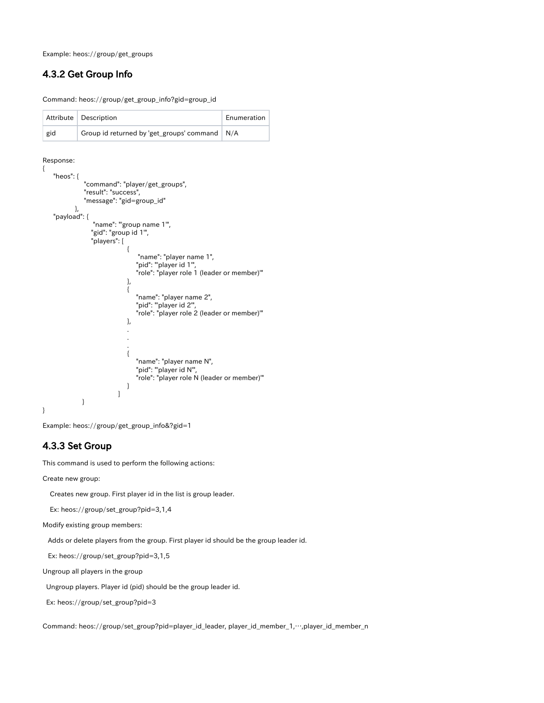Example: heos://group/get\_groups

#### <span id="page-21-0"></span>4.3.2 Get Group Info

Command: heos://group/get\_group\_info?gid=group\_id

|     | Attribute Description                           | Enumeration |
|-----|-------------------------------------------------|-------------|
| gid | Group id returned by 'get_groups' command   N/A |             |

#### Response:

```
{
    "heos": {
              "command": "player/get_groups",
              "result": "success",
              "message": "gid=group_id"
 },
 "payload": {
                "name": "'group name 1'",
                "gid": "group id 1'",
                "players": [
{ } "name": "player name 1",
                             "pid": "player id 1",
                              "role": "player role 1 (leader or member)'"
\}, \{, \}, \{, \}, \{, \}, \{, \}, \{, \}, \{, \}, \{, \}, \{, \}, \{, \}, \{, \}, \{, \}, \{, \}, \{, \}, \{, \}, \{, \}, \{, \}, \{, \}, \{, \},
{ } "name": "player name 2",
 "pid": "'player id 2'",
 "role": "player role 2 (leader or member)'"
\}, \{, \}, \{, \}, \{, \}, \{, \}, \{, \}, \{, \}, \{, \}, \{, \}, \{, \}, \{, \}, \{, \}, \{, \}, \{, \}, \{, \}, \{, \}, \{, \}, \{, \}, \{, \},
 .
 .
 .
{ } "name": "player name N",
 "pid": "'player id N'",
 "role": "player role N (leader or member)'"
}<br>}<br>}
 ]
             }
}
```
Example: heos://group/get\_group\_info&?gid=1

#### <span id="page-21-1"></span>4.3.3 Set Group

This command is used to perform the following actions:

Create new group:

Creates new group. First player id in the list is group leader.

Ex: heos://group/set\_group?pid=3,1,4

Modify existing group members:

Adds or delete players from the group. First player id should be the group leader id.

Ex: heos://group/set\_group?pid=3,1,5

Ungroup all players in the group

Ungroup players. Player id (pid) should be the group leader id.

Ex: heos://group/set\_group?pid=3

Command: heos://group/set\_group?pid=player\_id\_leader, player\_id\_member\_1,…,player\_id\_member\_n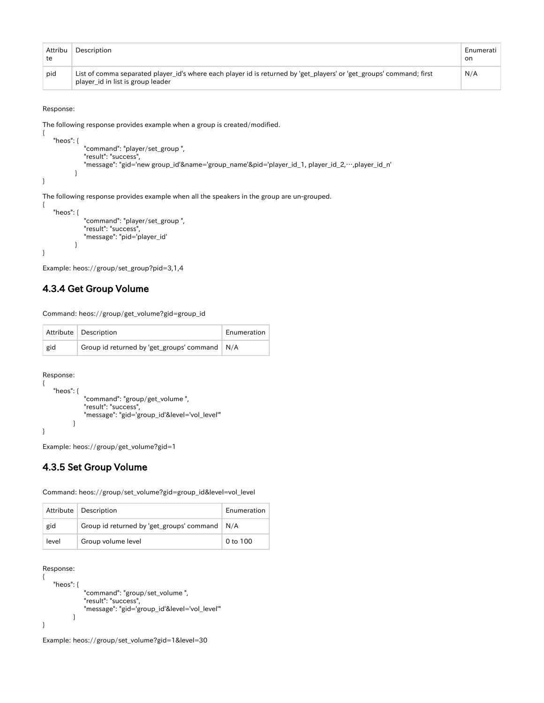| Attribu<br>te | Description                                                                                                                                               | Enumerati<br>on |
|---------------|-----------------------------------------------------------------------------------------------------------------------------------------------------------|-----------------|
| pid           | List of comma separated player id's where each player id is returned by 'get players' or 'get groups' command; first<br>player_id in list is group leader | N/A             |

{

{

The following response provides example when a group is created/modified.

```
 "heos": {
              "command": "player/set_group ",
              "result": "success",
              "message": "gid='new group_id'&name='group_name'&pid='player_id_1, player_id_2,…,player_id_n'
           }
}
```
The following response provides example when all the speakers in the group are un-grouped.

```
 "heos": {
 "command": "player/set_group ",
 "result": "success",
           "message": "pid='player_id'
 }
}
```
Example: heos://group/set\_group?pid=3,1,4

#### <span id="page-22-0"></span>4.3.4 Get Group Volume

Command: heos://group/get\_volume?gid=group\_id

|     | Attribute   Description                         | Enumeration |
|-----|-------------------------------------------------|-------------|
| gid | Group id returned by 'get_groups' command   N/A |             |

Response:

```
{
    "heos": {
               "command": "group/get_volume ",
               "result": "success",
               "message": "gid='group_id'&level='vol_level'"
           }
}
```
Example: heos://group/get\_volume?gid=1

#### <span id="page-22-1"></span>4.3.5 Set Group Volume

Command: heos://group/set\_volume?gid=group\_id&level=vol\_level

|       | Attribute   Description                         | Enumeration |
|-------|-------------------------------------------------|-------------|
| gid   | Group id returned by 'get_groups' command   N/A |             |
| level | Group volume level                              | 0 to 100    |

```
Response:
```

```
{
    "heos": {
               "command": "group/set_volume ",
               "result": "success",
               "message": "gid='group_id'&level='vol_level'"
           }
}
```
<span id="page-22-2"></span>Example: heos://group/set\_volume?gid=1&level=30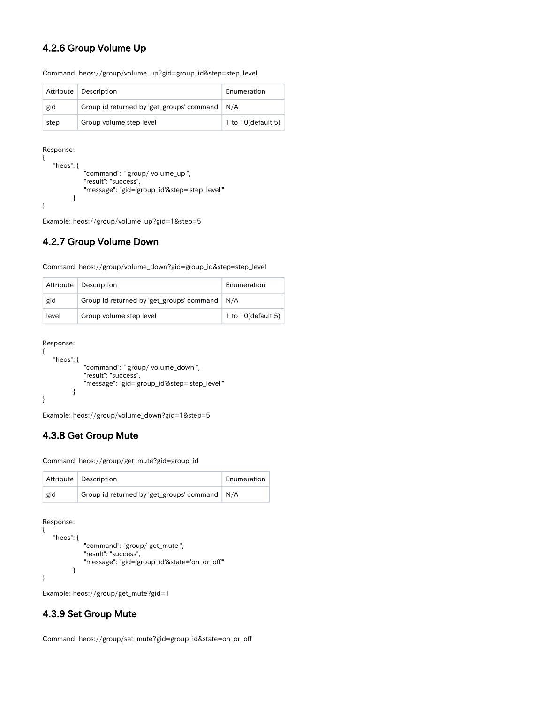#### 4.2.6 Group Volume Up

|      | Attribute   Description                         | Enumeration        |
|------|-------------------------------------------------|--------------------|
| gid  | Group id returned by 'get_groups' command   N/A |                    |
| step | Group volume step level                         | 1 to 10(default 5) |

Command: heos://group/volume\_up?gid=group\_id&step=step\_level

Response:

{

}

```
 "heos": {
 "command": " group/ volume_up ",
 "result": "success",
            "message": "gid='group_id'&step='step_level'"
        }
```
Example: heos://group/volume\_up?gid=1&step=5

#### <span id="page-23-0"></span>4.2.7 Group Volume Down

|       | Attribute   Description                         | Enumeration        |
|-------|-------------------------------------------------|--------------------|
| gid   | Group id returned by 'get_groups' command   N/A |                    |
| level | Group volume step level                         | 1 to 10(default 5) |

#### Response:

{

}

```
 "heos": {
             "command": " group/ volume_down ",
             "result": "success",
             "message": "gid='group_id'&step='step_level'"
 }
```
Example: heos://group/volume\_down?gid=1&step=5

## <span id="page-23-1"></span>4.3.8 Get Group Mute

Command: heos://group/get\_mute?gid=group\_id

|     | Attribute   Description                         | Enumeration |
|-----|-------------------------------------------------|-------------|
| gid | Group id returned by 'get_groups' command   N/A |             |

Response:

```
{
    "heos": {
               "command": "group/ get_mute ",
               "result": "success",
               "message": "gid='group_id'&state='on_or_off'"
           }
}
```
Example: heos://group/get\_mute?gid=1

#### <span id="page-23-2"></span>4.3.9 Set Group Mute

Command: heos://group/set\_mute?gid=group\_id&state=on\_or\_off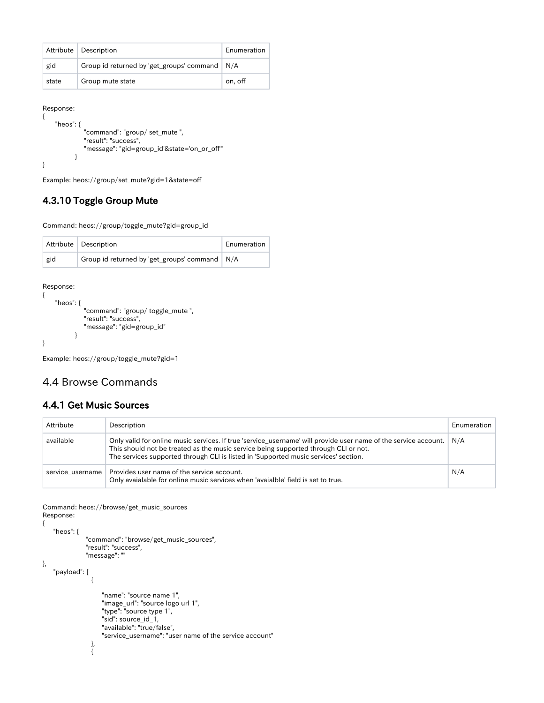|       | Attribute   Description                         | Enumeration |
|-------|-------------------------------------------------|-------------|
| gid   | Group id returned by 'get_groups' command   N/A |             |
| state | Group mute state                                | on, off     |

```
Response:
```

```
{
     "heos": {
              "command": "group/ set_mute ",
              "result": "success",
              "message": "gid=group_id'&state='on_or_off'"
 }
}
```
Example: heos://group/set\_mute?gid=1&state=off

## <span id="page-24-0"></span>4.3.10 Toggle Group Mute

Command: heos://group/toggle\_mute?gid=group\_id

|     | Attribute   Description                         | Enumeration |
|-----|-------------------------------------------------|-------------|
| gid | Group id returned by 'get_groups' command   N/A |             |

#### Response:

```
{
    "heos": {
              "command": "group/ toggle_mute ",
              "result": "success",
              "message": "gid=group_id"
 }
}
```
Example: heos://group/toggle\_mute?gid=1

## <span id="page-24-1"></span>4.4 Browse Commands

#### <span id="page-24-2"></span>4.4.1 Get Music Sources

| Attribute | Description                                                                                                                                                                                                                                                                                   | Enumeration |
|-----------|-----------------------------------------------------------------------------------------------------------------------------------------------------------------------------------------------------------------------------------------------------------------------------------------------|-------------|
| available | Only valid for online music services. If true 'service_username' will provide user name of the service account.<br>This should not be treated as the music service being supported through CLI or not.<br>The services supported through CLI is listed in 'Supported music services' section. | N/A         |
|           | service username   Provides user name of the service account.<br>Only avaialable for online music services when 'avaialble' field is set to true.                                                                                                                                             | N/A         |

Command: heos://browse/get\_music\_sources Response:

{ "heos": {

 $\left\{ \begin{array}{ccc} 1 & 0 & 0 \\ 0 & 0 & 0 \\ 0 & 0 & 0 \\ 0 & 0 & 0 \\ 0 & 0 & 0 \\ 0 & 0 & 0 \\ 0 & 0 & 0 \\ 0 & 0 & 0 \\ 0 & 0 & 0 \\ 0 & 0 & 0 \\ 0 & 0 & 0 \\ 0 & 0 & 0 \\ 0 & 0 & 0 \\ 0 & 0 & 0 & 0 \\ 0 & 0 & 0 & 0 \\ 0 & 0 & 0 & 0 \\ 0 & 0 & 0 & 0 & 0 \\ 0 & 0 & 0 & 0 & 0 \\ 0 & 0 & 0 & 0 & 0 \\ 0 & 0 & 0 & 0$ 

},

```
 "command": "browse/get_music_sources",
                                         "result": "success",
                                         "message": ""
         "payload": [
\left\{ \begin{array}{ccc} 1 & 0 & 0 \\ 0 & 0 & 0 \\ 0 & 0 & 0 \\ 0 & 0 & 0 \\ 0 & 0 & 0 \\ 0 & 0 & 0 \\ 0 & 0 & 0 \\ 0 & 0 & 0 \\ 0 & 0 & 0 \\ 0 & 0 & 0 \\ 0 & 0 & 0 \\ 0 & 0 & 0 \\ 0 & 0 & 0 \\ 0 & 0 & 0 & 0 \\ 0 & 0 & 0 & 0 \\ 0 & 0 & 0 & 0 \\ 0 & 0 & 0 & 0 & 0 \\ 0 & 0 & 0 & 0 & 0 \\ 0 & 0 & 0 & 0 & 0 \\ 0 & 0 & 0 & 0 "name": "source name 1",
```

```
 "image_url": "source logo url 1",
               "type": "source type 1",
 "sid": source_id_1,
 "available": "true/false",
               "service_username": "user name of the service account"
             },
```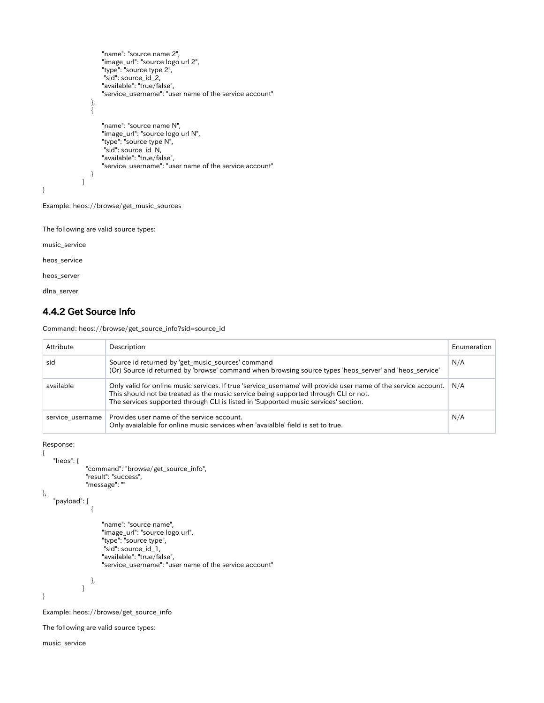```
 "name": "source name 2",
 "image_url": "source logo url 2",
 "type": "source type 2",
 "sid": source_id_2,
                              "available": "true/false",
                              "service_username": "user name of the service account"
                        },
\left\{ \begin{array}{ccc} 1 & 0 & 0 \\ 0 & 0 & 0 \\ 0 & 0 & 0 \\ 0 & 0 & 0 \\ 0 & 0 & 0 \\ 0 & 0 & 0 \\ 0 & 0 & 0 \\ 0 & 0 & 0 \\ 0 & 0 & 0 \\ 0 & 0 & 0 \\ 0 & 0 & 0 \\ 0 & 0 & 0 \\ 0 & 0 & 0 \\ 0 & 0 & 0 & 0 \\ 0 & 0 & 0 & 0 \\ 0 & 0 & 0 & 0 \\ 0 & 0 & 0 & 0 & 0 \\ 0 & 0 & 0 & 0 & 0 \\ 0 & 0 & 0 & 0 & 0 \\ 0 & 0 & 0 & 0 "name": "source name N",
                              "image_url": "source logo url N",
                              "type": "source type N",
                               "sid": source_id_N,
                              "available": "true/false",
                              "service_username": "user name of the service account"
}<br>}<br>}
 ]
```

```
Example: heos://browse/get_music_sources
```
The following are valid source types:

music\_service

}

heos\_service

heos\_server

dlna\_server

#### <span id="page-25-0"></span>4.4.2 Get Source Info

Command: heos://browse/get\_source\_info?sid=source\_id

| Attribute        | Description                                                                                                                                                                                                                                                                                   | Enumeration |
|------------------|-----------------------------------------------------------------------------------------------------------------------------------------------------------------------------------------------------------------------------------------------------------------------------------------------|-------------|
| sid              | Source id returned by 'get_music_sources' command<br>(Or) Source id returned by 'browse' command when browsing source types 'heos server' and 'heos service'                                                                                                                                  |             |
| available        | Only valid for online music services. If true 'service_username' will provide user name of the service account.<br>This should not be treated as the music service being supported through CLI or not.<br>The services supported through CLI is listed in 'Supported music services' section. | N/A         |
| service username | Provides user name of the service account.<br>Only avaialable for online music services when 'avaialble' field is set to true.                                                                                                                                                                | N/A         |

```
Response:
```
{

```
 "heos": {
                                     "command": "browse/get_source_info",
                                     "result": "success",
                                     "message": ""
         "payload": [
\left\{ \begin{array}{ccc} 1 & 0 & 0 \\ 0 & 0 & 0 \\ 0 & 0 & 0 \\ 0 & 0 & 0 \\ 0 & 0 & 0 \\ 0 & 0 & 0 \\ 0 & 0 & 0 \\ 0 & 0 & 0 \\ 0 & 0 & 0 \\ 0 & 0 & 0 \\ 0 & 0 & 0 \\ 0 & 0 & 0 \\ 0 & 0 & 0 \\ 0 & 0 & 0 & 0 \\ 0 & 0 & 0 & 0 \\ 0 & 0 & 0 & 0 \\ 0 & 0 & 0 & 0 & 0 \\ 0 & 0 & 0 & 0 & 0 \\ 0 & 0 & 0 & 0 & 0 \\ 0 & 0 & 0 & 0 "name": "source name",
                                                    "image_url": "source logo url",
                                                    "type": "source type",
```
},

```
 "sid": source_id_1,
          "available": "true/false",
          "service_username": "user name of the service account"
    },
\begin{array}{c} \hline \end{array}
```
}

Example: heos://browse/get\_source\_info

The following are valid source types:

music\_service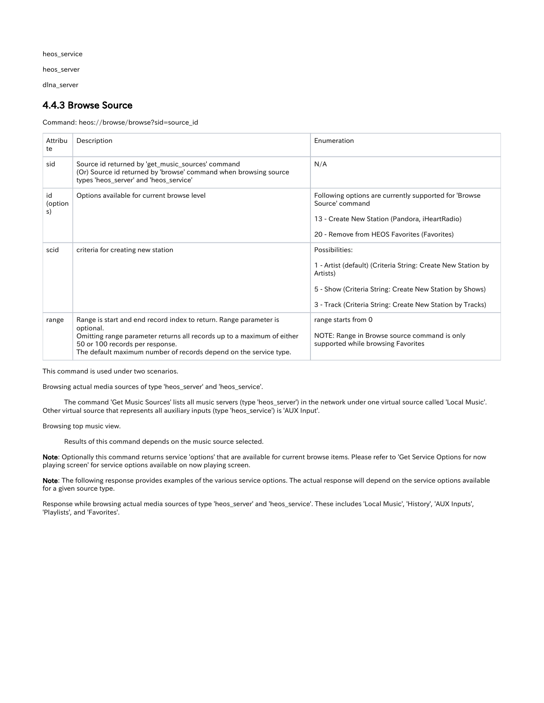heos\_service

heos\_server

dlna\_server

#### <span id="page-26-0"></span>4.4.3 Browse Source

Command: heos://browse/browse?sid=source\_id

| Attribu<br>te       | Description                                                                                                                                                                    | Enumeration                                                                                                                                                               |
|---------------------|--------------------------------------------------------------------------------------------------------------------------------------------------------------------------------|---------------------------------------------------------------------------------------------------------------------------------------------------------------------------|
| sid                 | Source id returned by 'get_music_sources' command<br>(Or) Source id returned by 'browse' command when browsing source<br>types 'heos_server' and 'heos_service'                | N/A                                                                                                                                                                       |
| id<br>(option<br>s) | Options available for current browse level                                                                                                                                     | Following options are currently supported for 'Browse<br>Source' command<br>13 - Create New Station (Pandora, iHeartRadio)<br>20 - Remove from HEOS Favorites (Favorites) |
|                     |                                                                                                                                                                                |                                                                                                                                                                           |
| scid                | criteria for creating new station                                                                                                                                              | Possibilities:                                                                                                                                                            |
|                     |                                                                                                                                                                                | 1 - Artist (default) (Criteria String: Create New Station by<br>Artists)                                                                                                  |
|                     |                                                                                                                                                                                | 5 - Show (Criteria String: Create New Station by Shows)                                                                                                                   |
|                     |                                                                                                                                                                                | 3 - Track (Criteria String: Create New Station by Tracks)                                                                                                                 |
| range               | Range is start and end record index to return. Range parameter is<br>optional.                                                                                                 | range starts from 0                                                                                                                                                       |
|                     | Omitting range parameter returns all records up to a maximum of either<br>50 or 100 records per response.<br>The default maximum number of records depend on the service type. | NOTE: Range in Browse source command is only<br>supported while browsing Favorites                                                                                        |

This command is used under two scenarios.

Browsing actual media sources of type 'heos\_server' and 'heos\_service'.

 The command 'Get Music Sources' lists all music servers (type 'heos\_server') in the network under one virtual source called 'Local Music'. Other virtual source that represents all auxiliary inputs (type 'heos\_service') is 'AUX Input'.

Browsing top music view.

Results of this command depends on the music source selected.

Note: Optionally this command returns service 'options' that are available for current browse items. Please refer to 'Get Service Options for now playing screen' for service options available on now playing screen.

Note: The following response provides examples of the various service options. The actual response will depend on the service options available for a given source type.

Response while browsing actual media sources of type 'heos\_server' and 'heos\_service'. These includes 'Local Music', 'History', 'AUX Inputs', 'Playlists', and 'Favorites'.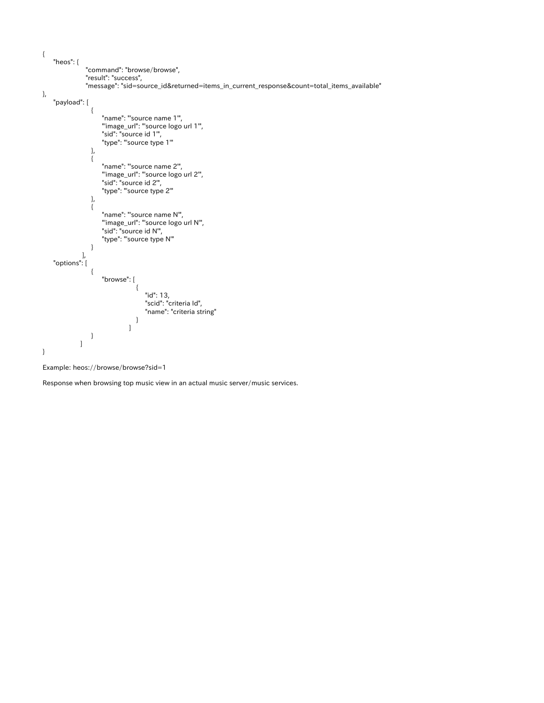



Response when browsing top music view in an actual music server/music services.

{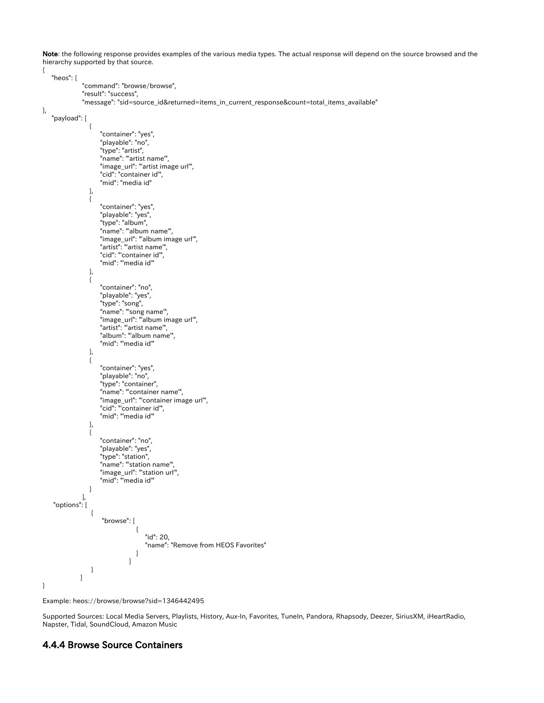Note: the following response provides examples of the various media types. The actual response will depend on the source browsed and the hierarchy supported by that source.

```
{
     "heos": {
                     "command": "browse/browse",
                     "result": "success",
                     "message": "sid=source_id&returned=items_in_current_response&count=total_items_available"
},
      "payload": [
 \left\{ \begin{array}{ccc} 1 & 0 & 0 \\ 0 & 0 & 0 \\ 0 & 0 & 0 \\ 0 & 0 & 0 \\ 0 & 0 & 0 \\ 0 & 0 & 0 \\ 0 & 0 & 0 \\ 0 & 0 & 0 \\ 0 & 0 & 0 \\ 0 & 0 & 0 \\ 0 & 0 & 0 \\ 0 & 0 & 0 \\ 0 & 0 & 0 \\ 0 & 0 & 0 & 0 \\ 0 & 0 & 0 & 0 \\ 0 & 0 & 0 & 0 \\ 0 & 0 & 0 & 0 & 0 \\ 0 & 0 & 0 & 0 & 0 \\ 0 & 0 & 0 & 0 & 0 \\ 0 & 0 & 0 & 0 "container": "yes",
                              "playable": "no",
  "type": "artist",
  "name": "'artist name'",
                              "image_url": "'artist image url'",
                              "cid": "container id'",
                              "mid": "media id"
                        },
 \left\{ \begin{array}{c} 1 & 1 \\ 1 & 1 \end{array} \right\} "container": "yes",
                              "playable": "yes",
                              "type": "album",
                              "name": "'album name'",
  "image_url": "'album image url'",
  "artist": "'artist name'",
                              "cid": "'container id'",
                              "mid": "'media id'"
                        },
 \left\{ \begin{array}{ccc} 1 & 0 & 0 \\ 0 & 0 & 0 \\ 0 & 0 & 0 \\ 0 & 0 & 0 \\ 0 & 0 & 0 \\ 0 & 0 & 0 \\ 0 & 0 & 0 \\ 0 & 0 & 0 \\ 0 & 0 & 0 \\ 0 & 0 & 0 \\ 0 & 0 & 0 \\ 0 & 0 & 0 \\ 0 & 0 & 0 \\ 0 & 0 & 0 & 0 \\ 0 & 0 & 0 & 0 \\ 0 & 0 & 0 & 0 \\ 0 & 0 & 0 & 0 & 0 \\ 0 & 0 & 0 & 0 & 0 \\ 0 & 0 & 0 & 0 & 0 \\ 0 & 0 & 0 & 0 "container": "no",
                              "playable": "yes",
                              "type": "song",
                              "name": "'song name'",
                              "image_url": "'album image url'",
  "artist": "'artist name'",
  "album": "'album name'",
                              "mid": "'media id'"
                        },
 {1 \over 2} "container": "yes",
                              "playable": "no",
                              "type": "container",
                              "name": "'container name'",
                              "image_url": "'container image url'",
  "cid": "'container id'",
  "mid": "'media id'"
                        },
 {1 \over 2} "container": "no",
                              "playable": "yes",
                              "type": "station",
  "name": "'station name'",
  "image_url": "'station url'",
                             "mid": "media id"
 }<br>}<br>}
 \qquad \qquad "options": [
 \left\{ \begin{array}{ccc} 1 & 0 & 0 \\ 0 & 0 & 0 \\ 0 & 0 & 0 \\ 0 & 0 & 0 \\ 0 & 0 & 0 \\ 0 & 0 & 0 \\ 0 & 0 & 0 \\ 0 & 0 & 0 \\ 0 & 0 & 0 \\ 0 & 0 & 0 \\ 0 & 0 & 0 \\ 0 & 0 & 0 \\ 0 & 0 & 0 \\ 0 & 0 & 0 & 0 \\ 0 & 0 & 0 & 0 \\ 0 & 0 & 0 & 0 \\ 0 & 0 & 0 & 0 & 0 \\ 0 & 0 & 0 & 0 & 0 \\ 0 & 0 & 0 & 0 & 0 \\ 0 & 0 & 0 & 0 "browse": [
 { } "id": 20,
                                                    "name": "Remove from HEOS Favorites"
  }
  ]
 }<br>}<br>}
  ]
}
```
Example: heos://browse/browse?sid=1346442495

Supported Sources: Local Media Servers, Playlists, History, Aux-In, Favorites, TuneIn, Pandora, Rhapsody, Deezer, SiriusXM, iHeartRadio, Napster, Tidal, SoundCloud, Amazon Music

#### <span id="page-28-0"></span>4.4.4 Browse Source Containers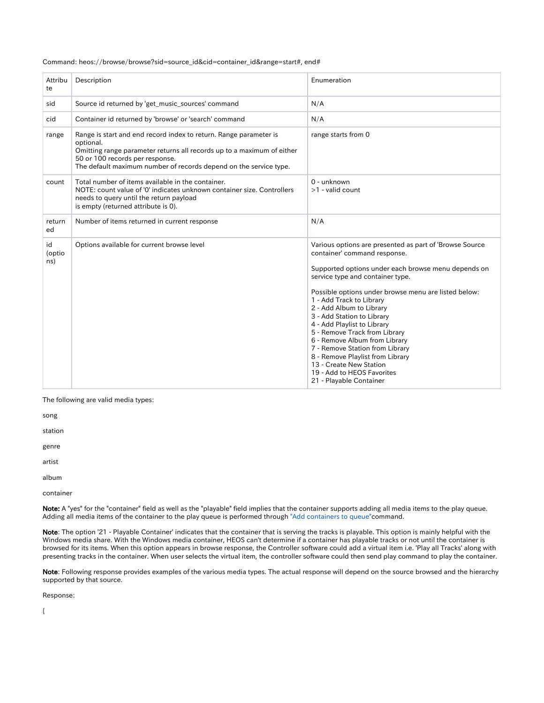#### Command: heos://browse/browse?sid=source\_id&cid=container\_id&range=start#, end#

| Attribu<br>te       | Description                                                                                                                                                                                                                                                      | Enumeration                                                                                                                                                                                                                                                                                                                                                                                                                                                                                                                                                                                  |
|---------------------|------------------------------------------------------------------------------------------------------------------------------------------------------------------------------------------------------------------------------------------------------------------|----------------------------------------------------------------------------------------------------------------------------------------------------------------------------------------------------------------------------------------------------------------------------------------------------------------------------------------------------------------------------------------------------------------------------------------------------------------------------------------------------------------------------------------------------------------------------------------------|
| sid                 | Source id returned by 'get_music_sources' command                                                                                                                                                                                                                | N/A                                                                                                                                                                                                                                                                                                                                                                                                                                                                                                                                                                                          |
| cid                 | Container id returned by 'browse' or 'search' command                                                                                                                                                                                                            | N/A                                                                                                                                                                                                                                                                                                                                                                                                                                                                                                                                                                                          |
| range               | Range is start and end record index to return. Range parameter is<br>optional.<br>Omitting range parameter returns all records up to a maximum of either<br>50 or 100 records per response.<br>The default maximum number of records depend on the service type. | range starts from 0                                                                                                                                                                                                                                                                                                                                                                                                                                                                                                                                                                          |
| count               | Total number of items available in the container.<br>NOTE: count value of '0' indicates unknown container size. Controllers<br>needs to query until the return payload<br>is empty (returned attribute is 0).                                                    | 0 - unknown<br>$>1$ - valid count                                                                                                                                                                                                                                                                                                                                                                                                                                                                                                                                                            |
| return<br>ed        | Number of items returned in current response                                                                                                                                                                                                                     | N/A                                                                                                                                                                                                                                                                                                                                                                                                                                                                                                                                                                                          |
| id<br>(optio<br>ns) | Options available for current browse level                                                                                                                                                                                                                       | Various options are presented as part of 'Browse Source<br>container' command response.<br>Supported options under each browse menu depends on<br>service type and container type.<br>Possible options under browse menu are listed below:<br>1 - Add Track to Library<br>2 - Add Album to Library<br>3 - Add Station to Library<br>4 - Add Playlist to Library<br>5 - Remove Track from Library<br>6 - Remove Album from Library<br>7 - Remove Station from Library<br>8 - Remove Playlist from Library<br>13 - Create New Station<br>19 - Add to HEOS Favorites<br>21 - Playable Container |

The following are valid media types:

song

station

genre

artist

album

container

Note: A "yes" for the "container" field as well as the "playable" field implies that the container supports adding all media items to the play queue. Adding all media items of the container to the play queue is performed through ["Add containers to queue"](https://dm-atlassian.rickcloud.jp/wiki/display/prod/Add+Container+to+Queue+with+Options)command.

Note: The option '21 - Playable Container' indicates that the container that is serving the tracks is playable. This option is mainly helpful with the Windows media share. With the Windows media container, HEOS can't determine if a container has playable tracks or not until the container is browsed for its items. When this option appears in browse response, the Controller software could add a virtual item i.e. 'Play all Tracks' along with presenting tracks in the container. When user selects the virtual item, the controller software could then send play command to play the container.

Note: Following response provides examples of the various media types. The actual response will depend on the source browsed and the hierarchy supported by that source.

Response:

{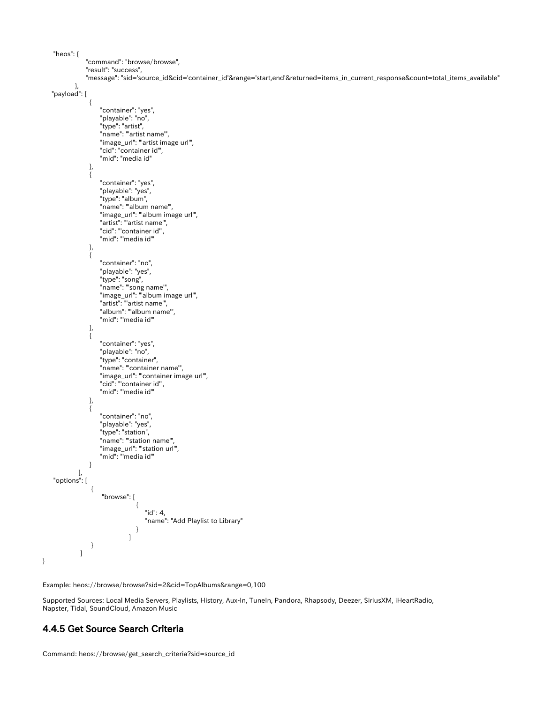"heos": { "command": "browse/browse", "result": "success", "message": "sid='source\_id&cid='container\_id'&range='start,end'&returned=items\_in\_current\_response&count=total\_items\_available" }, "payload": [  ${1 \over 2}$  "container": "yes", "playable": "no", "type": "artist", "name": "'artist name'", "image\_url": "'artist image url'", "cid": "container id'", "mid": "media id" },  ${1 \over 2}$  "container": "yes", "playable": "yes", "type": "album", "name": "'album name'", "image\_url": "'album image url'", "artist": "'artist name'", "cid": "'container id'", "mid": "'media id'" },  ${1 \over 2}$  "container": "no", "playable": "yes", "type": "song", "name": "'song name'", "image\_url": "'album image url'", "artist": "'artist name'", "album": "'album name'", "mid": "'media id'" },  ${1 \over 2}$  "container": "yes", "playable": "no", "type": "container", "name": "'container name'", "image\_url": "'container image url'", "cid": "'container id'", "mid": "'media id'" },  ${1 \over 2}$  "container": "no", "playable": "yes", "type": "station", "name": "'station name'", "image\_url": "'station url'", "mid": "'media id'" }<br>}<br>}  $\qquad \qquad$  "options": [  $\left\{ \begin{array}{ccc} 1 & 0 & 0 \\ 0 & 0 & 0 \\ 0 & 0 & 0 \\ 0 & 0 & 0 \\ 0 & 0 & 0 \\ 0 & 0 & 0 \\ 0 & 0 & 0 \\ 0 & 0 & 0 \\ 0 & 0 & 0 \\ 0 & 0 & 0 \\ 0 & 0 & 0 \\ 0 & 0 & 0 \\ 0 & 0 & 0 \\ 0 & 0 & 0 & 0 \\ 0 & 0 & 0 & 0 \\ 0 & 0 & 0 & 0 \\ 0 & 0 & 0 & 0 & 0 \\ 0 & 0 & 0 & 0 & 0 \\ 0 & 0 & 0 & 0 & 0 \\ 0 & 0 & 0 & 0$  "browse": [  ${ }$  "id": 4, "name": "Add Playlist to Library" } ] }<br>}<br>}

Example: heos://browse/browse?sid=2&cid=TopAlbums&range=0,100

Supported Sources: Local Media Servers, Playlists, History, Aux-In, TuneIn, Pandora, Rhapsody, Deezer, SiriusXM, iHeartRadio, Napster, Tidal, SoundCloud, Amazon Music

#### <span id="page-30-0"></span>4.4.5 Get Source Search Criteria

]

}

Command: heos://browse/get\_search\_criteria?sid=source\_id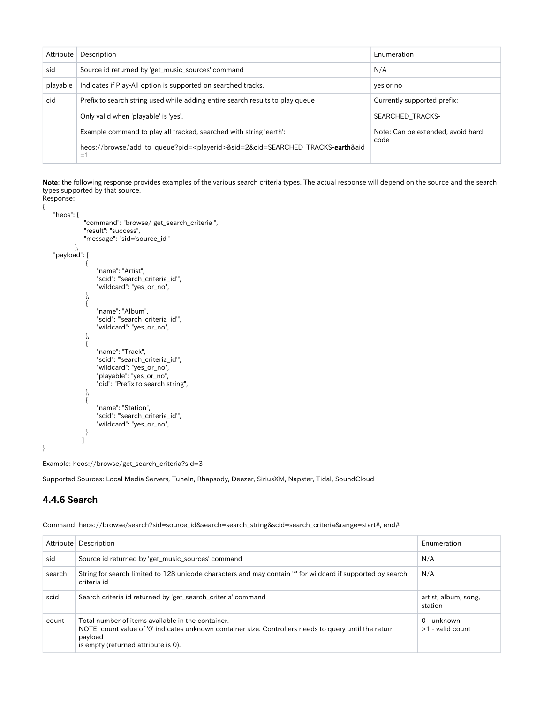| Attribute | Description                                                                                                               | Enumeration                       |
|-----------|---------------------------------------------------------------------------------------------------------------------------|-----------------------------------|
| sid       | Source id returned by 'get_music_sources' command                                                                         | N/A                               |
| playable  | Indicates if Play-All option is supported on searched tracks.                                                             | yes or no                         |
| cid       | Prefix to search string used while adding entire search results to play queue                                             | Currently supported prefix:       |
|           | Only valid when 'playable' is 'yes'.                                                                                      | SEARCHED TRACKS-                  |
|           | Example command to play all tracked, searched with string 'earth':                                                        | Note: Can be extended, avoid hard |
|           | heos://browse/add_to_queue?pid= <playerid>&amp;sid=2&amp;cid=SEARCHED_TRACKS-earth&amp;aid<br/><math>=1</math></playerid> | code                              |

Note: the following response provides examples of the various search criteria types. The actual response will depend on the source and the search types supported by that source.

Response: {

```
 "heos": {
                "command": "browse/ get_search_criteria ",
                "result": "success",
                "message": "sid='source_id "
            },
     "payload": [
\left\{ \begin{array}{c} 1 & 1 \\ 1 & 1 \end{array} \right\} "name": "Artist",
 "scid": "'search_criteria_id'",
                    "wildcard": "yes_or_no",
                },
\left\{ \begin{array}{c} \end{array} \right\} "name": "Album",
                    "scid": "'search_criteria_id'",
                    "wildcard": "yes_or_no",
                },
\left\{ \begin{array}{c} 1 & 1 \\ 1 & 1 \end{array} \right\} "name": "Track",
 "scid": "'search_criteria_id'",
                    "wildcard": "yes_or_no",
 "playable": "yes_or_no",
 "cid": "Prefix to search string",
                },
\left\{ \begin{array}{c} 1 & 1 \\ 1 & 1 \end{array} \right\} "name": "Station",
 "scid": "'search_criteria_id'",
                    "wildcard": "yes_or_no",
                }
 ]
}
```
Example: heos://browse/get\_search\_criteria?sid=3

Supported Sources: Local Media Servers, TuneIn, Rhapsody, Deezer, SiriusXM, Napster, Tidal, SoundCloud

#### <span id="page-31-0"></span>4.4.6 Search

Command: heos://browse/search?sid=source\_id&search=search\_string&scid=search\_criteria&range=start#, end#

|        | Attribute Description                                                                                                                                                                                         | Enumeration                       |
|--------|---------------------------------------------------------------------------------------------------------------------------------------------------------------------------------------------------------------|-----------------------------------|
| sid    | Source id returned by 'get_music_sources' command                                                                                                                                                             | N/A                               |
| search | String for search limited to 128 unicode characters and may contain " for wildcard if supported by search<br>criteria id                                                                                      | N/A                               |
| scid   | Search criteria id returned by 'get search criteria' command                                                                                                                                                  | artist, album, song,<br>station   |
| count  | Total number of items available in the container.<br>NOTE: count value of '0' indicates unknown container size. Controllers needs to query until the return<br>payload<br>is empty (returned attribute is 0). | 0 - unknown<br>$>1$ - valid count |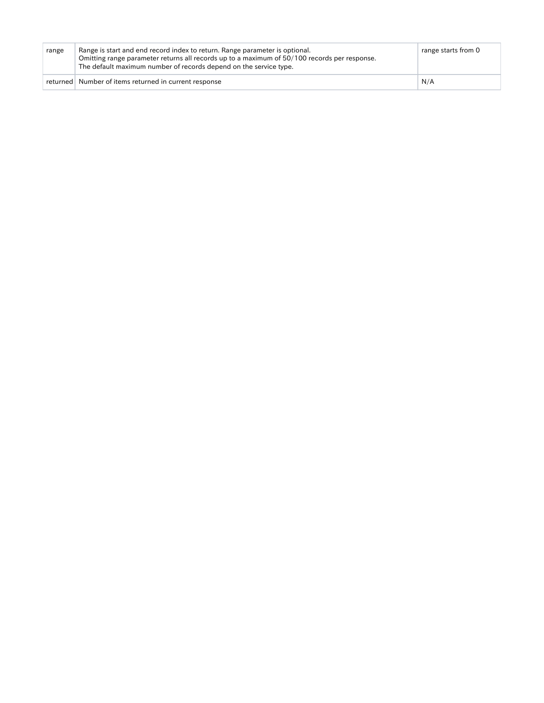| range | Range is start and end record index to return. Range parameter is optional.<br>Omitting range parameter returns all records up to a maximum of 50/100 records per response.<br>The default maximum number of records depend on the service type. | range starts from 0 |
|-------|--------------------------------------------------------------------------------------------------------------------------------------------------------------------------------------------------------------------------------------------------|---------------------|
|       | returned Number of items returned in current response                                                                                                                                                                                            | N/A                 |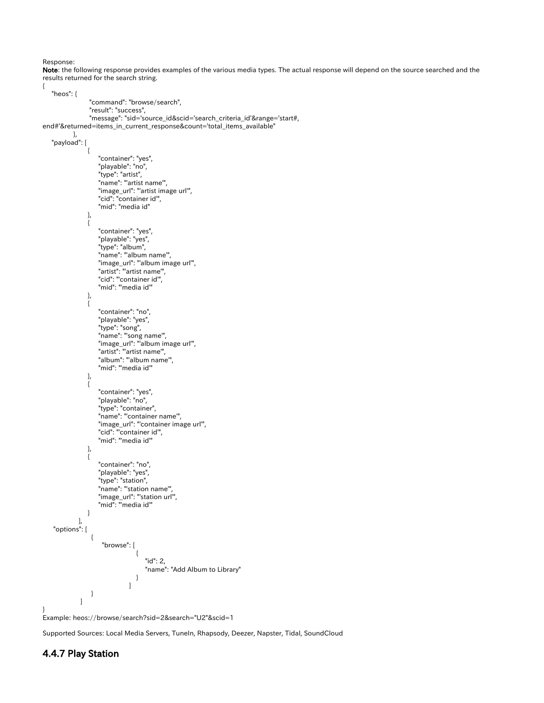Note: the following response provides examples of the various media types. The actual response will depend on the source searched and the results returned for the search string.





<span id="page-33-0"></span>Supported Sources: Local Media Servers, TuneIn, Rhapsody, Deezer, Napster, Tidal, SoundCloud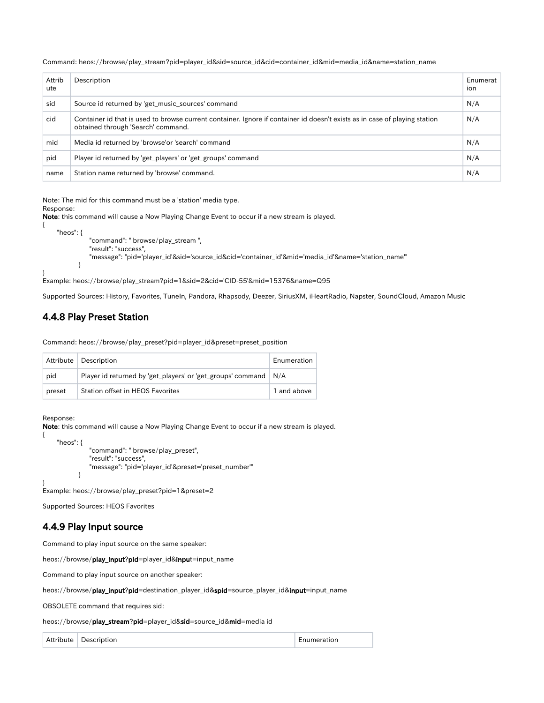Command: heos://browse/play\_stream?pid=player\_id&sid=source\_id&cid=container\_id&mid=media\_id&name=station\_name

| Attrib<br>ute | Description                                                                                                                                                      | Enumerat<br>ion |
|---------------|------------------------------------------------------------------------------------------------------------------------------------------------------------------|-----------------|
| sid           | Source id returned by 'get music sources' command                                                                                                                | N/A             |
| cid           | Container id that is used to browse current container. Ignore if container id doesn't exists as in case of playing station<br>obtained through 'Search' command. | N/A             |
| mid           | Media id returned by 'browse'or 'search' command                                                                                                                 | N/A             |
| pid           | Player id returned by 'get_players' or 'get_groups' command                                                                                                      | N/A             |
| name          | Station name returned by 'browse' command.                                                                                                                       | N/A             |

Note: The mid for this command must be a 'station' media type.

#### Response:

}

Note: this command will cause a Now Playing Change Event to occur if a new stream is played.

```
{
     "heos": {
               "command": " browse/play_stream ",
               "result": "success",
               "message": "pid='player_id'&sid='source_id&cid='container_id'&mid='media_id'&name='station_name'"
 }
```
Example: heos://browse/play\_stream?pid=1&sid=2&cid='CID-55'&mid=15376&name=Q95

Supported Sources: History, Favorites, TuneIn, Pandora, Rhapsody, Deezer, SiriusXM, iHeartRadio, Napster, SoundCloud, Amazon Music

#### <span id="page-34-0"></span>4.4.8 Play Preset Station

Command: heos://browse/play\_preset?pid=player\_id&preset=preset\_position

|        | Attribute   Description                                           | Enumeration |
|--------|-------------------------------------------------------------------|-------------|
| pid    | Player id returned by 'get_players' or 'get_groups' command   N/A |             |
| preset | <b>Station offset in HEOS Favorites</b>                           | 1 and above |

Response:

{

}

Note: this command will cause a Now Playing Change Event to occur if a new stream is played.

```
 "heos": {
               "command": " browse/play_preset",
               "result": "success",
               "message": "pid='player_id'&preset='preset_number'"
 }
```
Example: heos://browse/play\_preset?pid=1&preset=2

Supported Sources: HEOS Favorites

#### <span id="page-34-1"></span>4.4.9 Play Input source

Command to play input source on the same speaker:

heos://browse/play\_input?pid=player\_id&input=input\_name

Command to play input source on another speaker:

heos://browse/play\_input?pid=destination\_player\_id&spid=source\_player\_id&input=input\_name

OBSOLETE command that requires sid:

heos://browse/play\_stream?pid=player\_id&sid=source\_id&mid=media id

Attribute Description **Enumeration Enumeration**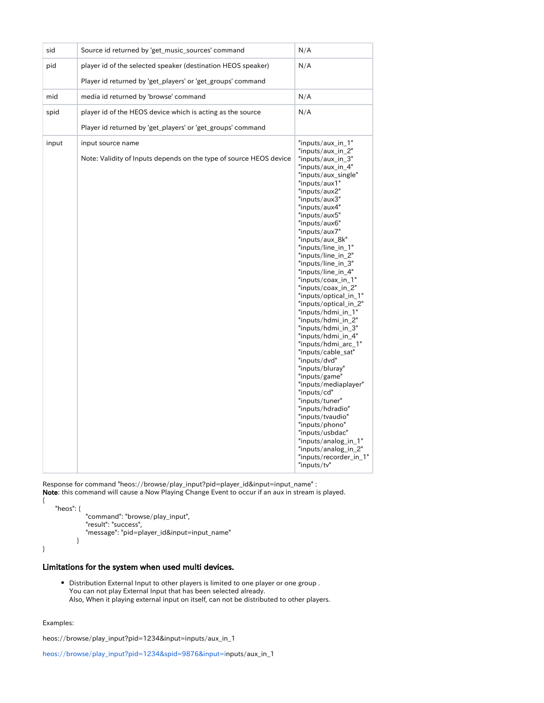| sid   | Source id returned by 'get_music_sources' command                                       | N/A                                                                                                                                                                                                                                                                                                                                                                                                                                                                                                                                                                                                                                                                                                                                                                                                                                                             |
|-------|-----------------------------------------------------------------------------------------|-----------------------------------------------------------------------------------------------------------------------------------------------------------------------------------------------------------------------------------------------------------------------------------------------------------------------------------------------------------------------------------------------------------------------------------------------------------------------------------------------------------------------------------------------------------------------------------------------------------------------------------------------------------------------------------------------------------------------------------------------------------------------------------------------------------------------------------------------------------------|
| pid   | player id of the selected speaker (destination HEOS speaker)                            | N/A                                                                                                                                                                                                                                                                                                                                                                                                                                                                                                                                                                                                                                                                                                                                                                                                                                                             |
|       | Player id returned by 'get_players' or 'get_groups' command                             |                                                                                                                                                                                                                                                                                                                                                                                                                                                                                                                                                                                                                                                                                                                                                                                                                                                                 |
| mid   | media id returned by 'browse' command                                                   | N/A                                                                                                                                                                                                                                                                                                                                                                                                                                                                                                                                                                                                                                                                                                                                                                                                                                                             |
| spid  | player id of the HEOS device which is acting as the source                              | N/A                                                                                                                                                                                                                                                                                                                                                                                                                                                                                                                                                                                                                                                                                                                                                                                                                                                             |
|       | Player id returned by 'get_players' or 'get_groups' command                             |                                                                                                                                                                                                                                                                                                                                                                                                                                                                                                                                                                                                                                                                                                                                                                                                                                                                 |
| input | input source name<br>Note: Validity of Inputs depends on the type of source HEOS device | "inputs/aux_in_1"<br>"inputs/aux_in_2"<br>"inputs/aux_in_3"<br>"inputs/aux_in_4"<br>"inputs/aux_single"<br>"inputs/aux1"<br>"inputs/aux2"<br>"inputs/aux3"<br>"inputs/aux4"<br>"inputs/aux5"<br>"inputs/aux6"<br>"inputs/aux7"<br>"inputs/aux_8k"<br>"inputs/line in 1"<br>"inputs/line_in_2"<br>"inputs/line_in_3"<br>"inputs/line_in_4"<br>"inputs/coax_in_1"<br>"inputs/coax_in_2"<br>"inputs/optical_in_1"<br>"inputs/optical_in_2"<br>"inputs/hdmi_in_1"<br>"inputs/hdmi in 2"<br>"inputs/hdmi_in_3"<br>"inputs/hdmi_in_4"<br>"inputs/hdmi_arc_1"<br>"inputs/cable_sat"<br>"inputs/dvd"<br>"inputs/bluray"<br>"inputs/game"<br>"inputs/mediaplayer"<br>"inputs/cd"<br>"inputs/tuner"<br>"inputs/hdradio"<br>"inputs/tvaudio"<br>"inputs/phono"<br>"inputs/usbdac"<br>"inputs/analog_in_1"<br>"inputs/analog_in_2"<br>"inputs/recorder_in_1"<br>"inputs/tv" |

Response for command "heos://browse/play\_input?pid=player\_id&input=input\_name" :

Note: this command will cause a Now Playing Change Event to occur if an aux in stream is played. {

```
 "heos": {
           "command": "browse/play_input",
           "result": "success",
           "message": "pid=player_id&input=input_name"
        }
```
#### <span id="page-35-0"></span>Limitations for the system when used multi devices.

Distribution External Input to other players is limited to one player or one group . You can not play External Input that has been selected already. Also, When it playing external input on itself, can not be distributed to other players.

#### Examples:

}

heos://browse/play\_input?pid=1234&input=inputs/aux\_in\_1

heos://browse/play\_input?pid=1234&spid=9876&input=inputs/aux\_in\_1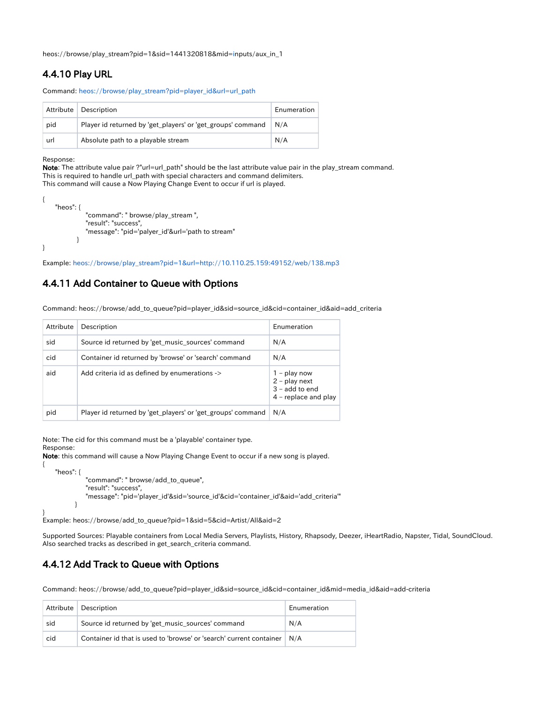heos://browse/play\_stream?pid=1&sid=1441320818&mid=inputs/aux\_in\_1

## <span id="page-36-0"></span>4.4.10 Play URL

Command: heos://browse/play\_stream?pid=player\_id&url=url\_path

|     | Attribute   Description                                     | Enumeration |
|-----|-------------------------------------------------------------|-------------|
| pid | Player id returned by 'get_players' or 'get_groups' command | N/A         |
| url | Absolute path to a playable stream                          | N/A         |

Response:

{

Note: The attribute value pair ?"url=url\_path" should be the last attribute value pair in the play\_stream command. This is required to handle url\_path with special characters and command delimiters. This command will cause a Now Playing Change Event to occur if url is played.

```
{
     "heos": {
              "command": " browse/play_stream ",
              "result": "success",
              "message": "pid='palyer_id'&url='path to stream"
 }
}
```
Example: heos://browse/play\_stream?pid=1&url=<http://10.110.25.159:49152/web/138.mp3>

### <span id="page-36-1"></span>4.4.11 Add Container to Queue with Options

Command: heos://browse/add\_to\_queue?pid=player\_id&sid=source\_id&cid=container\_id&aid=add\_criteria

| Attribute | Description                                                 | <b>Fnumeration</b>                                                              |
|-----------|-------------------------------------------------------------|---------------------------------------------------------------------------------|
| sid       | Source id returned by 'get music sources' command           | N/A                                                                             |
| cid       | Container id returned by 'browse' or 'search' command       | N/A                                                                             |
| aid       | Add criteria id as defined by enumerations ->               | $1 - play now$<br>$2$ – play next<br>$3 -$ add to end<br>$4$ – replace and play |
| pid       | Player id returned by 'get_players' or 'get_groups' command | N/A                                                                             |

Note: The cid for this command must be a 'playable' container type. Response:

Note: this command will cause a Now Playing Change Event to occur if a new song is played.

```
 "heos": {
              "command": " browse/add_to_queue",
              "result": "success",
              "message": "pid='player_id'&sid='source_id'&cid='container_id'&aid='add_criteria'"
 }
```
} Example: heos://browse/add\_to\_queue?pid=1&sid=5&cid=Artist/All&aid=2

Supported Sources: Playable containers from Local Media Servers, Playlists, History, Rhapsody, Deezer, iHeartRadio, Napster, Tidal, SoundCloud. Also searched tracks as described in get\_search\_criteria command.

## <span id="page-36-2"></span>4.4.12 Add Track to Queue with Options

Command: heos://browse/add\_to\_queue?pid=player\_id&sid=source\_id&cid=container\_id&mid=media\_id&aid=add-criteria

|     | Attribute   Description                                                        | Enumeration |
|-----|--------------------------------------------------------------------------------|-------------|
| sid | Source id returned by 'get music sources' command                              | N/A         |
| cid | Container id that is used to 'browse' or 'search' current container $\mid N/A$ |             |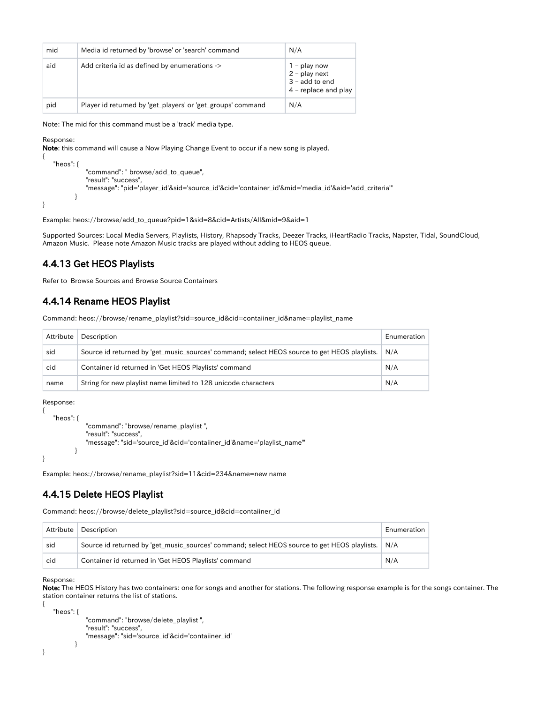| mid | Media id returned by 'browse' or 'search' command           | N/A                                                                           |
|-----|-------------------------------------------------------------|-------------------------------------------------------------------------------|
| aid | Add criteria id as defined by enumerations ->               | 1 – play now<br>$2$ – play next<br>$3$ – add to end<br>$4$ – replace and play |
| pid | Player id returned by 'get_players' or 'get_groups' command | N/A                                                                           |

Note: The mid for this command must be a 'track' media type.

Response:

{

}

Note: this command will cause a Now Playing Change Event to occur if a new song is played.

```
 "heos": {
           "command": " browse/add_to_queue",
           "result": "success",
           "message": "pid='player_id'&sid='source_id'&cid='container_id'&mid='media_id'&aid='add_criteria'"
        }
```
Example: heos://browse/add\_to\_queue?pid=1&sid=8&cid=Artists/All&mid=9&aid=1

Supported Sources: Local Media Servers, Playlists, History, Rhapsody Tracks, Deezer Tracks, iHeartRadio Tracks, Napster, Tidal, SoundCloud, Amazon Music. Please note Amazon Music tracks are played without adding to HEOS queue.

#### <span id="page-37-0"></span>4.4.13 Get HEOS Playlists

Refer to Browse Sources and Browse Source Containers

#### <span id="page-37-1"></span>4.4.14 Rename HEOS Playlist

Command: heos://browse/rename\_playlist?sid=source\_id&cid=contaiiner\_id&name=playlist\_name

| Attribute | Description                                                                                  | <b>Fnumeration</b> |
|-----------|----------------------------------------------------------------------------------------------|--------------------|
| sid       | Source id returned by 'get_music_sources' command; select HEOS source to get HEOS playlists. | N/A                |
| cid       | Container id returned in 'Get HEOS Playlists' command                                        | N/A                |
| name      | String for new playlist name limited to 128 unicode characters                               | N/A                |

Response:

```
{
    "heos": {
              "command": "browse/rename_playlist ",
               "result": "success",
              "message": "sid='source_id'&cid='contaiiner_id'&name='playlist_name'"
 }
}
```
Example: heos://browse/rename\_playlist?sid=11&cid=234&name=new name

#### <span id="page-37-2"></span>4.4.15 Delete HEOS Playlist

Command: heos://browse/delete\_playlist?sid=source\_id&cid=contaiiner\_id

|     | Attribute   Description                                                                         | Enumeration |
|-----|-------------------------------------------------------------------------------------------------|-------------|
| sid | Source id returned by get music sources' command; select HEOS source to get HEOS playlists. N/A |             |
| cid | Container id returned in 'Get HEOS Playlists' command                                           | N/A         |

Response:

Note: The HEOS History has two containers: one for songs and another for stations. The following response example is for the songs container. The station container returns the list of stations. {

```
 "heos": {
              "command": "browse/delete_playlist ",
              "result": "success",
              "message": "sid='source_id'&cid='contaiiner_id'
 }
```

```
}
```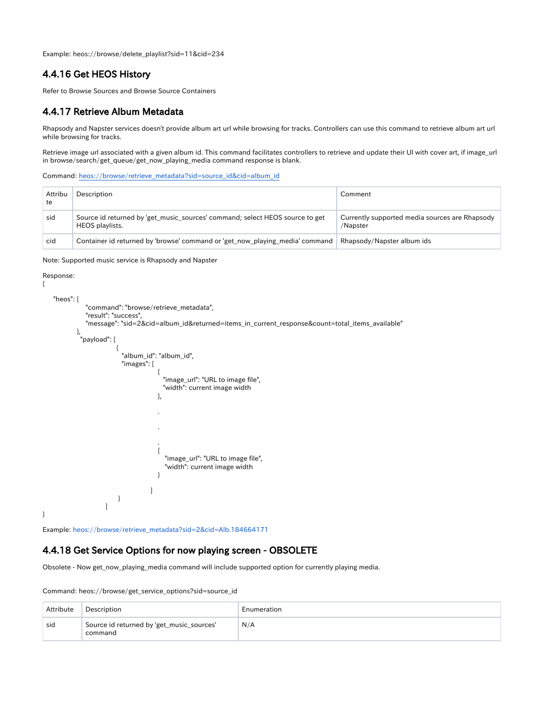Example: heos://browse/delete\_playlist?sid=11&cid=234

#### <span id="page-38-0"></span>4.4.16 Get HEOS History

Refer to Browse Sources and Browse Source Containers

#### <span id="page-38-1"></span>4.4.17 Retrieve Album Metadata

Rhapsody and Napster services doesn't provide album art url while browsing for tracks. Controllers can use this command to retrieve album art url while browsing for tracks.

Retrieve image url associated with a given album id. This command facilitates controllers to retrieve and update their UI with cover art, if image\_url in browse/search/get\_queue/get\_now\_playing\_media command response is blank.

Command: heos://browse/retrieve\_metadata?sid=source\_id&cid=album\_id

| Attribu<br>te | Description                                                                                     | Comment                                                    |
|---------------|-------------------------------------------------------------------------------------------------|------------------------------------------------------------|
| sid           | Source id returned by 'get music sources' command; select HEOS source to get<br>HEOS playlists. | Currently supported media sources are Rhapsody<br>/Napster |
| cid           | Container id returned by 'browse' command or 'get_now_playing_media' command                    | Rhapsody/Napster album ids                                 |

Note: Supported music service is Rhapsody and Napster

#### Response:

{

}

```
 "heos": {
            "command": "browse/retrieve_metadata",
            "result": "success",
            "message": "sid=2&cid=album_id&returned=items_in_current_response&count=total_items_available"
          },
           "payload": [
{1 \over 2} "album_id": "album_id",
                      "images": [
\{"image url": "URL to image file",
                                  "width": current image width
 },
 .
 .
 .
\{ "image_url": "URL to image file",
                                   "width": current image width
 }
[1] The contract of the contract of the contract of the contract of the contract of the contract of the contract of the contract of the contract of the contract of the contract of the contract of the contract of the contra
}<br>}<br>}
 ]
```
Example: heos://browse/retrieve\_metadata?sid=2&cid=Alb.184664171

#### <span id="page-38-2"></span>4.4.18 Get Service Options for now playing screen - OBSOLETE

Obsolete - Now get\_now\_playing\_media command will include supported option for currently playing media.

Command: heos://browse/get\_service\_options?sid=source\_id

| Attribute | Description                                          | Enumeration |
|-----------|------------------------------------------------------|-------------|
| sid       | Source id returned by 'get_music_sources'<br>command | N/A         |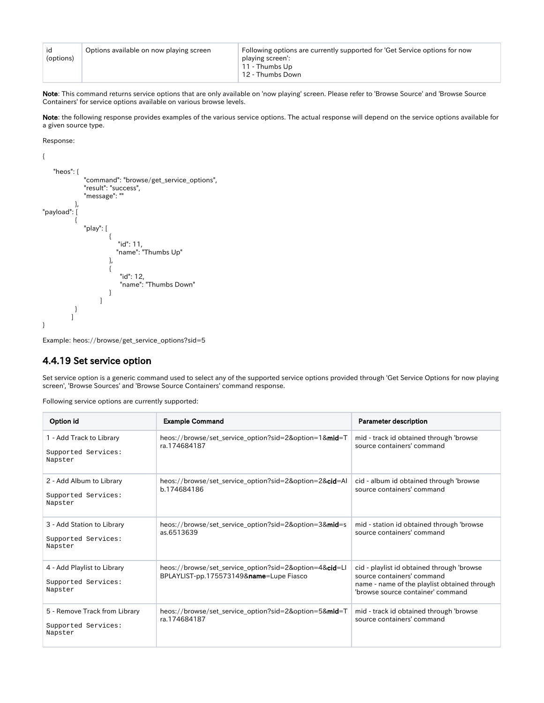| id<br>(options) | Options available on now playing screen | Following options are currently supported for 'Get Service options for now<br>playing screen':<br>11 - Thumbs Up<br>12 - Thumbs Down |
|-----------------|-----------------------------------------|--------------------------------------------------------------------------------------------------------------------------------------|
|-----------------|-----------------------------------------|--------------------------------------------------------------------------------------------------------------------------------------|

Note: This command returns service options that are only available on 'now playing' screen. Please refer to 'Browse Source' and 'Browse Source Containers' for service options available on various browse levels.

Note: the following response provides examples of the various service options. The actual response will depend on the service options available for a given source type.

Response:

```
{
     "heos": {
                  "command": "browse/get_service_options",
 "result": "success",
 "message": ""
 },
"payload": [
\left\{ \begin{array}{ccc} 1 & 1 & 1 \\ 1 & 1 & 1 \end{array} \right\} "play": [
{ } "id": 11,
                                "name": "Thumbs Up"
\{, \{, \}, \{, \{, \}, \{, \}, \{, \{, \}, \{, \}, \{, \}, \{, \}, \{, \{, \}, \{, \}, \{, \}, \{, \}, \{, \}, \{, \{, \}, \{, \}, \{, \}, \{, \{,
{ } "id": 12,
                                 "name": "Thumbs Down"
 }
 ]
              }
           \, \, \,}
```
Example: heos://browse/get\_service\_options?sid=5

#### <span id="page-39-0"></span>4.4.19 Set service option

Set service option is a generic command used to select any of the supported service options provided through 'Get Service Options for now playing screen', 'Browse Sources' and 'Browse Source Containers' command response.

Following service options are currently supported:

| Option id                                                       | <b>Example Command</b>                                                                            | <b>Parameter description</b>                                                                                                                                  |
|-----------------------------------------------------------------|---------------------------------------------------------------------------------------------------|---------------------------------------------------------------------------------------------------------------------------------------------------------------|
| 1 - Add Track to Library<br>Supported Services:<br>Napster      | heos://browse/set_service_option?sid=2&option=1∣=T<br>ra.174684187                                | mid - track id obtained through 'browse<br>source containers' command                                                                                         |
| 2 - Add Album to Library<br>Supported Services:<br>Napster      | heos://browse/set_service_option?sid=2&option=2&cid=Al<br>b.174684186                             | cid - album id obtained through 'browse<br>source containers' command                                                                                         |
| 3 - Add Station to Library<br>Supported Services:<br>Napster    | heos://browse/set_service_option?sid=2&option=3∣=s<br>as.6513639                                  | mid - station id obtained through 'browse<br>source containers' command                                                                                       |
| 4 - Add Playlist to Library<br>Supported Services:<br>Napster   | heos://browse/set_service_option?sid=2&option=4&cid=Ll<br>BPLAYLIST-pp.175573149&name=Lupe Fiasco | cid - playlist id obtained through 'browse<br>source containers' command<br>name - name of the playlist obtained through<br>'browse source container' command |
| 5 - Remove Track from Library<br>Supported Services:<br>Napster | heos://browse/set_service_option?sid=2&option=5∣=T<br>ra.174684187                                | mid - track id obtained through 'browse<br>source containers' command                                                                                         |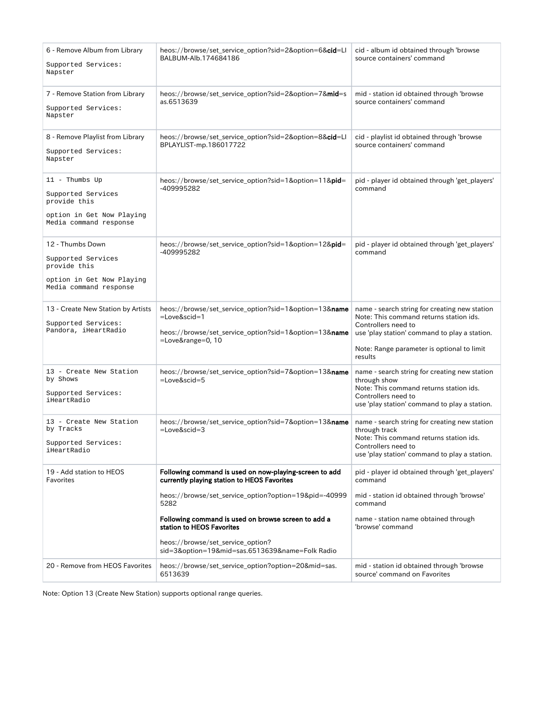| 6 - Remove Album from Library<br>Supported Services:<br>Napster                                               | heos://browse/set_service_option?sid=2&option=6&cid=Ll<br>BALBUM-Alb.174684186                                                                 | cid - album id obtained through 'browse<br>source containers' command                                                                                                                                                     |
|---------------------------------------------------------------------------------------------------------------|------------------------------------------------------------------------------------------------------------------------------------------------|---------------------------------------------------------------------------------------------------------------------------------------------------------------------------------------------------------------------------|
| 7 - Remove Station from Library<br>Supported Services:<br>Napster                                             | heos://browse/set_service_option?sid=2&option=7∣=s<br>as.6513639                                                                               | mid - station id obtained through 'browse<br>source containers' command                                                                                                                                                   |
| 8 - Remove Playlist from Library<br>Supported Services:<br>Napster                                            | heos://browse/set_service_option?sid=2&option=8&cid=Ll<br>BPLAYLIST-mp.186017722                                                               | cid - playlist id obtained through 'browse<br>source containers' command                                                                                                                                                  |
| $11$ - Thumbs Up<br>Supported Services<br>provide this<br>option in Get Now Playing<br>Media command response | heos://browse/set_service_option?sid=1&option=11&pid=<br>-409995282                                                                            | pid - player id obtained through 'get_players'<br>command                                                                                                                                                                 |
| 12 - Thumbs Down<br>Supported Services<br>provide this<br>option in Get Now Playing<br>Media command response | heos://browse/set_service_option?sid=1&option=12&pid=<br>-409995282                                                                            | pid - player id obtained through 'get_players'<br>command                                                                                                                                                                 |
| 13 - Create New Station by Artists<br>Supported Services:<br>Pandora, iHeartRadio                             | heos://browse/set_service_option?sid=1&option=13&name<br>=Love&scid=1<br>heos://browse/set_service_option?sid=1&option=13&name<br>=Love⦥=0, 10 | name - search string for creating new station<br>Note: This command returns station ids.<br>Controllers need to<br>use 'play station' command to play a station.<br>Note: Range parameter is optional to limit<br>results |
| 13 - Create New Station<br>by Shows<br>Supported Services:<br>iHeartRadio                                     | heos://browse/set_service_option?sid=7&option=13&name<br>$=$ Love&scid=5                                                                       | name - search string for creating new station<br>through show<br>Note: This command returns station ids.<br>Controllers need to<br>use 'play station' command to play a station.                                          |
| 13 - Create New Station<br>by Tracks<br>Supported Services:<br>iHeartRadio                                    | heos://browse/set_service_option?sid=7&option=13&name<br>$=$ Love&scid=3                                                                       | name - search string for creating new station<br>through track<br>Note: This command returns station ids.<br>Controllers need to<br>use 'play station' command to play a station.                                         |
| 19 - Add station to HEOS<br>Favorites                                                                         | Following command is used on now-playing-screen to add<br>currently playing station to HEOS Favorites                                          | pid - player id obtained through 'get_players'<br>command                                                                                                                                                                 |
|                                                                                                               | heos://browse/set_service_option?option=19&pid=-40999<br>5282                                                                                  | mid - station id obtained through 'browse'<br>command                                                                                                                                                                     |
|                                                                                                               | Following command is used on browse screen to add a<br>station to HEOS Favorites                                                               | name - station name obtained through<br>'browse' command                                                                                                                                                                  |
|                                                                                                               | heos://browse/set_service_option?<br>sid=3&option=19∣=sas.6513639&name=Folk Radio                                                              |                                                                                                                                                                                                                           |
| 20 - Remove from HEOS Favorites                                                                               | heos://browse/set_service_option?option=20∣=sas.<br>6513639                                                                                    | mid - station id obtained through 'browse<br>source' command on Favorites                                                                                                                                                 |

Note: Option 13 (Create New Station) supports optional range queries.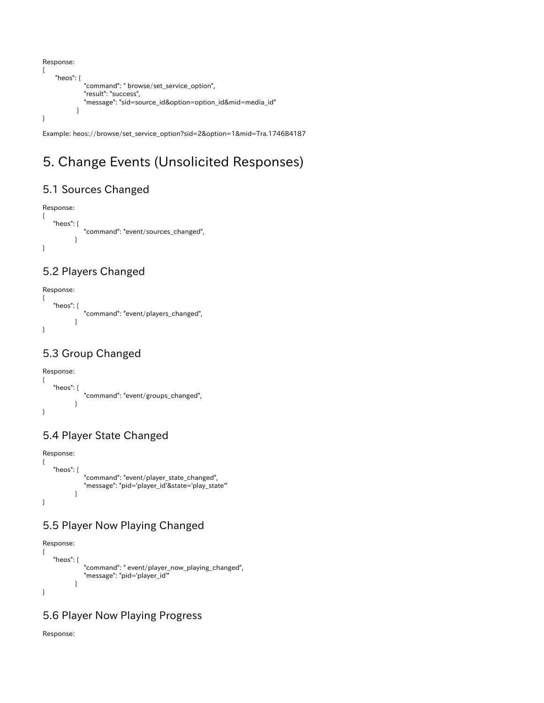```
Response:
{
     "heos": {
              "command": " browse/set_service_option",
              "result": "success",
              "message": "sid=source_id&option=option_id&mid=media_id"
 }
}
```
Example: heos://browse/set\_service\_option?sid=2&option=1&mid=Tra.174684187

# <span id="page-41-0"></span>5. Change Events (Unsolicited Responses)

# <span id="page-41-1"></span>5.1 Sources Changed

```
Response:
{
    "heos": {
             "command": "event/sources_changed",
 }
}
```
## <span id="page-41-2"></span>5.2 Players Changed

```
Response:
{
    "heos": {
             "command": "event/players_changed",
 }
}
```
# <span id="page-41-3"></span>5.3 Group Changed

Response:

```
{
    "heos": {
             "command": "event/groups_changed",
 }
}
```
# <span id="page-41-4"></span>5.4 Player State Changed

```
Response:
{
    "heos": {
              "command": "event/player_state_changed",
              "message": "pid='player_id'&state='play_state'"
 }
}
```
# <span id="page-41-5"></span>5.5 Player Now Playing Changed

```
Response:
{
    "heos": {
               "command": " event/player_now_playing_changed",
               "message": "pid='player_id'"
            }
}
```
## <span id="page-41-6"></span>5.6 Player Now Playing Progress

Response: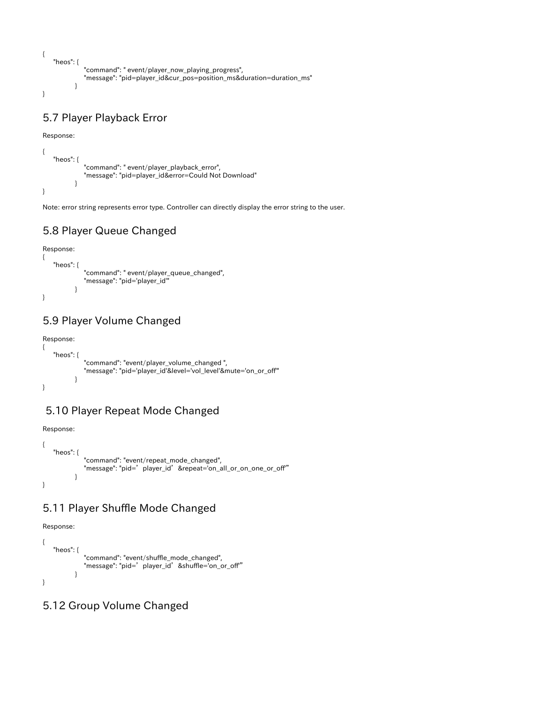```
{
    "heos": {
             "command": " event/player_now_playing_progress",
             "message": "pid=player_id&cur_pos=position_ms&duration=duration_ms"
 }
}
```
## <span id="page-42-0"></span>5.7 Player Playback Error

Response:

```
{
    "heos": {
             "command": " event/player_playback_error",
             "message": "pid=player_id&error=Could Not Download"
 }
}
```
Note: error string represents error type. Controller can directly display the error string to the user.

## <span id="page-42-1"></span>5.8 Player Queue Changed

```
Response:
{
    "heos": {
             "command": " event/player_queue_changed",
             "message": "pid='player_id'"
 }
}
```
## <span id="page-42-2"></span>5.9 Player Volume Changed

```
Response:
{
    "heos": {
              "command": "event/player_volume_changed ",
              "message": "pid='player_id'&level='vol_level'&mute='on_or_off'"
 }
}
```
## <span id="page-42-3"></span>5.10 Player Repeat Mode Changed

Response:

```
{
    "heos": {
             "command": "event/repeat_mode_changed",
             "message": "pid='player_id'&repeat='on_all_or_on_one_or_off'"
 }
}
```
## <span id="page-42-4"></span>5.11 Player Shuffle Mode Changed

Response:

```
{
    "heos": {
             "command": "event/shuffle_mode_changed",
            "message": "pid=' player_id' &shuffle='on_or_off"
 }
}
```
## <span id="page-42-5"></span>5.12 Group Volume Changed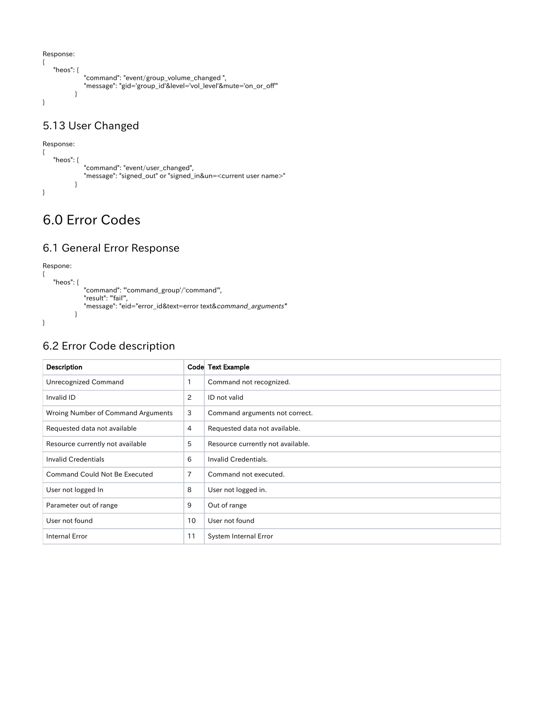```
{
    "heos": {
 "command": "event/group_volume_changed ",
 "message": "gid='group_id'&level='vol_level'&mute='on_or_off'"
         }
}
```
# <span id="page-43-0"></span>5.13 User Changed

```
Response:
{
    "heos": {
             "command": "event/user_changed",
             "message": "signed_out" or "signed_in&un=<current user name>"
 }
}
```
# <span id="page-43-1"></span>6.0 Error Codes

## <span id="page-43-2"></span>6.1 General Error Response

#### Respone:

{

}

```
 "heos": {
           "command": "'command_group'/'command'",
           "result": "'fail'",
           "message": "eid="error_id&text=error text&command_arguments'"
        }
```
# <span id="page-43-3"></span>6.2 Error Code description

| <b>Description</b>                   |                | Code Text Example                 |
|--------------------------------------|----------------|-----------------------------------|
| <b>Unrecognized Command</b>          | 1              | Command not recognized.           |
| Invalid ID                           | 2              | ID not valid                      |
| Wroing Number of Command Arguments   | 3              | Command arguments not correct.    |
| Requested data not available         | 4              | Requested data not available.     |
| Resource currently not available     | 5              | Resource currently not available. |
| <b>Invalid Credentials</b>           | 6              | Invalid Credentials.              |
| <b>Command Could Not Be Executed</b> | $\overline{7}$ | Command not executed.             |
| User not logged In                   | 8              | User not logged in.               |
| Parameter out of range               | 9              | Out of range                      |
| User not found                       | 10             | User not found                    |
| <b>Internal Error</b>                | 11             | System Internal Error             |